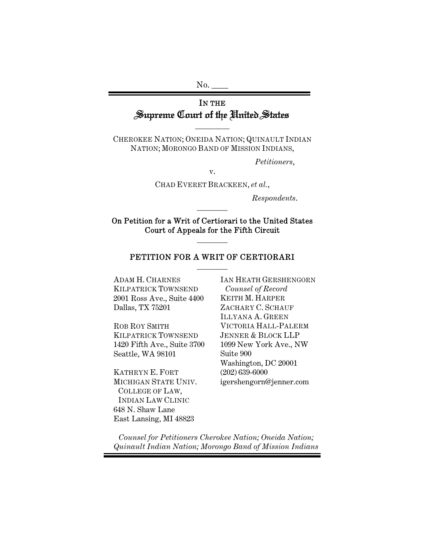No.

# IN THE Supreme Court of the United States

CHEROKEE NATION; ONEIDA NATION; QUINAULT INDIAN NATION; MORONGO BAND OF MISSION INDIANS,

 $\overline{\phantom{a}}$ 

*Petitioners*,

v.

CHAD EVERET BRACKEEN, *et al.*,

*Respondents*.

On Petition for a Writ of Certiorari to the United States Court of Appeals for the Fifth Circuit  $\overline{\phantom{a}}$ 

 $\overline{\phantom{a}}$ 

## PETITION FOR A WRIT OF CERTIORARI  $\overline{\phantom{a}}$

ADAM H. CHARNES KILPATRICK TOWNSEND 2001 Ross Ave., Suite 4400 Dallas, TX 75201

ROB ROY SMITH KILPATRICK TOWNSEND 1420 Fifth Ave., Suite 3700 Seattle, WA 98101

KATHRYN E. FORT MICHIGAN STATE UNIV. COLLEGE OF LAW, INDIAN LAW CLINIC 648 N. Shaw Lane East Lansing, MI 48823

IAN HEATH GERSHENGORN *Counsel of Record*  KEITH M. HARPER ZACHARY C. SCHAUF ILLYANA A. GREEN VICTORIA HALL-PALERM JENNER & BLOCK LLP 1099 New York Ave., NW Suite 900 Washington, DC 20001 (202) 639-6000 igershengorn@jenner.com

*Counsel for Petitioners Cherokee Nation; Oneida Nation; Quinault Indian Nation; Morongo Band of Mission Indians*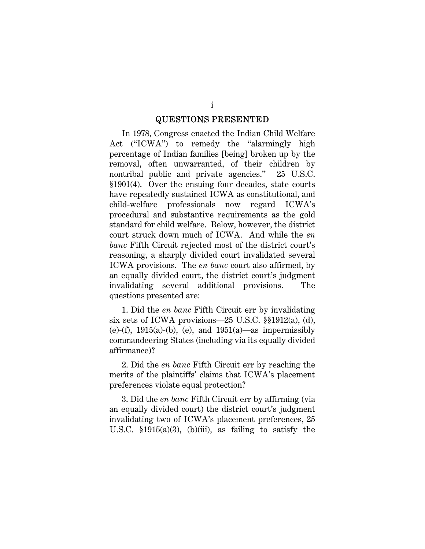#### QUESTIONS PRESENTED

In 1978, Congress enacted the Indian Child Welfare Act ("ICWA") to remedy the "alarmingly high percentage of Indian families [being] broken up by the removal, often unwarranted, of their children by nontribal public and private agencies." 25 U.S.C. §1901(4). Over the ensuing four decades, state courts have repeatedly sustained ICWA as constitutional, and child-welfare professionals now regard ICWA's procedural and substantive requirements as the gold standard for child welfare. Below, however, the district court struck down much of ICWA. And while the *en banc* Fifth Circuit rejected most of the district court's reasoning, a sharply divided court invalidated several ICWA provisions. The *en banc* court also affirmed, by an equally divided court, the district court's judgment invalidating several additional provisions. The questions presented are:

1. Did the *en banc* Fifth Circuit err by invalidating six sets of ICWA provisions—25 U.S.C. §§1912(a), (d), (e)-(f), 1915(a)-(b), (e), and 1951(a)—as impermissibly commandeering States (including via its equally divided affirmance)?

2. Did the *en banc* Fifth Circuit err by reaching the merits of the plaintiffs' claims that ICWA's placement preferences violate equal protection?

3. Did the *en banc* Fifth Circuit err by affirming (via an equally divided court) the district court's judgment invalidating two of ICWA's placement preferences, 25 U.S.C.  $$1915(a)(3)$ , (b)(iii), as failing to satisfy the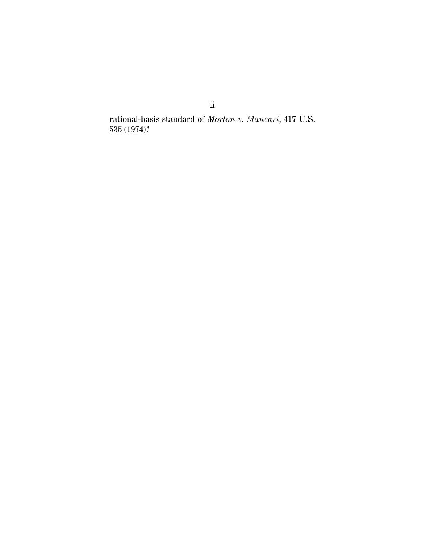rational-basis standard of *Morton v. Mancari*, 417 U.S. 535 (1974)?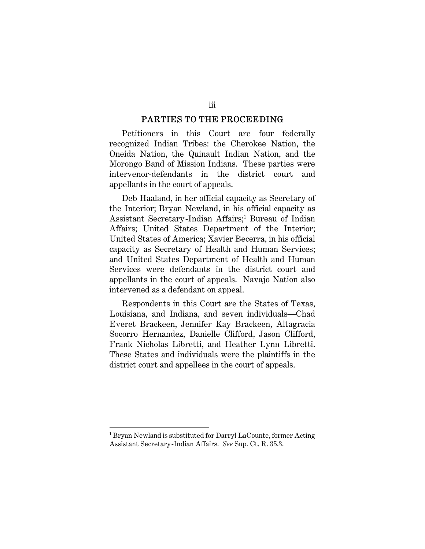#### PARTIES TO THE PROCEEDING

Petitioners in this Court are four federally recognized Indian Tribes: the Cherokee Nation, the Oneida Nation, the Quinault Indian Nation, and the Morongo Band of Mission Indians. These parties were intervenor-defendants in the district court and appellants in the court of appeals.

Deb Haaland, in her official capacity as Secretary of the Interior; Bryan Newland, in his official capacity as Assistant Secretary-Indian Affairs;<sup>1</sup> Bureau of Indian Affairs; United States Department of the Interior; United States of America; Xavier Becerra, in his official capacity as Secretary of Health and Human Services; and United States Department of Health and Human Services were defendants in the district court and appellants in the court of appeals. Navajo Nation also intervened as a defendant on appeal.

Respondents in this Court are the States of Texas, Louisiana, and Indiana, and seven individuals—Chad Everet Brackeen, Jennifer Kay Brackeen, Altagracia Socorro Hernandez, Danielle Clifford, Jason Clifford, Frank Nicholas Libretti, and Heather Lynn Libretti. These States and individuals were the plaintiffs in the district court and appellees in the court of appeals.

<sup>1</sup> Bryan Newland is substituted for Darryl LaCounte, former Acting Assistant Secretary-Indian Affairs. *See* Sup. Ct. R. 35.3.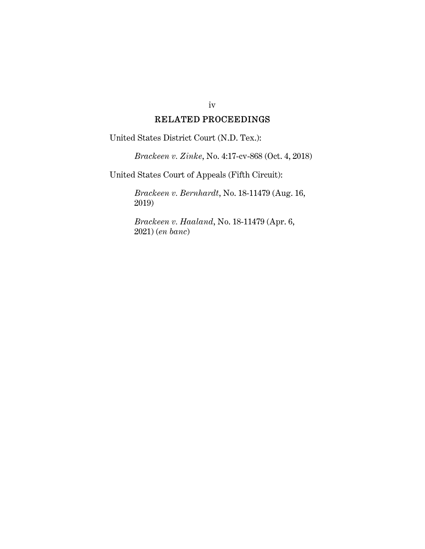## iv

## RELATED PROCEEDINGS

United States District Court (N.D. Tex.):

*Brackeen v. Zinke*, No. 4:17-cv-868 (Oct. 4, 2018)

United States Court of Appeals (Fifth Circuit):

*Brackeen v. Bernhardt*, No. 18-11479 (Aug. 16, 2019)

*Brackeen v. Haaland*, No. 18-11479 (Apr. 6, 2021) (*en banc*)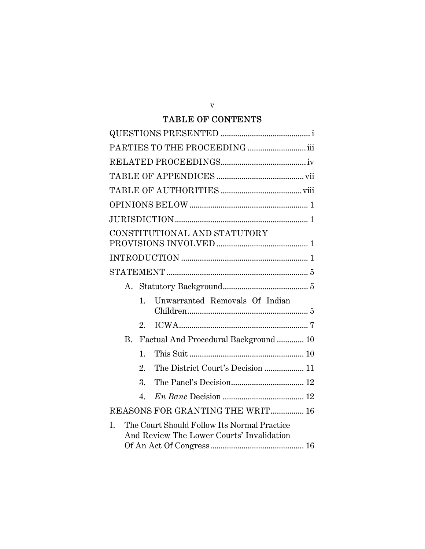## TABLE OF CONTENTS

| CONSTITUTIONAL AND STATUTORY                                                                   |
|------------------------------------------------------------------------------------------------|
|                                                                                                |
|                                                                                                |
|                                                                                                |
| Unwarranted Removals Of Indian<br>$\mathbf{1}_{-}$                                             |
| 2.                                                                                             |
| Factual And Procedural Background  10<br>B.                                                    |
| 1.                                                                                             |
| The District Court's Decision  11<br>2.                                                        |
| 3.                                                                                             |
| 4.                                                                                             |
| REASONS FOR GRANTING THE WRIT 16                                                               |
| The Court Should Follow Its Normal Practice<br>I.<br>And Review The Lower Courts' Invalidation |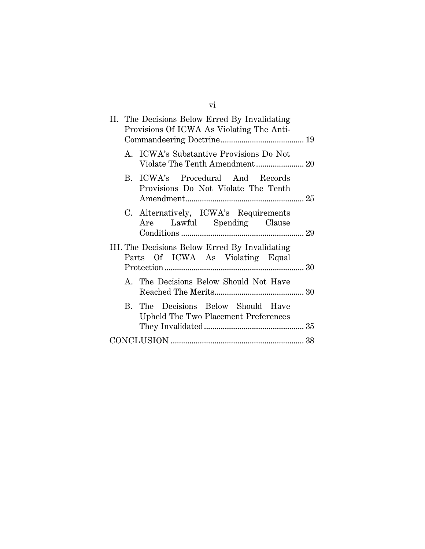| II. The Decisions Below Erred By Invalidating<br>Provisions Of ICWA As Violating The Anti- |  |  |
|--------------------------------------------------------------------------------------------|--|--|
| A. ICWA's Substantive Provisions Do Not                                                    |  |  |
| B. ICWA's Procedural And Records<br>Provisions Do Not Violate The Tenth                    |  |  |
| C. Alternatively, ICWA's Requirements<br>Are Lawful Spending Clause                        |  |  |
| III. The Decisions Below Erred By Invalidating<br>Parts Of ICWA As Violating Equal         |  |  |
| A. The Decisions Below Should Not Have                                                     |  |  |
| B. The Decisions Below Should Have<br>Upheld The Two Placement Preferences                 |  |  |
|                                                                                            |  |  |

vi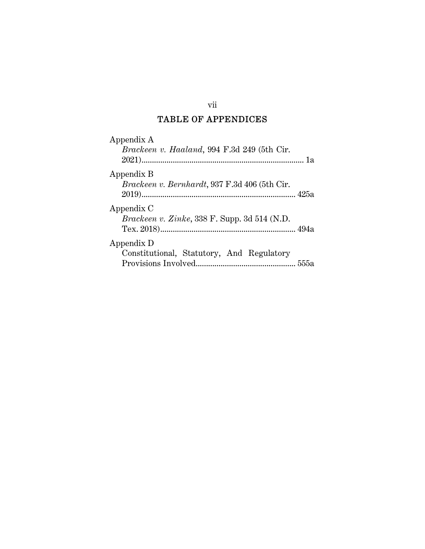# TABLE OF APPENDICES

| Appendix A<br>Brackeen v. Haaland, 994 F.3d 249 (5th Cir.   |  |
|-------------------------------------------------------------|--|
| Appendix B<br>Brackeen v. Bernhardt, 937 F.3d 406 (5th Cir. |  |
| Appendix C<br>Brackeen v. Zinke, 338 F. Supp. 3d 514 (N.D.  |  |
| Appendix D<br>Constitutional, Statutory, And Regulatory     |  |

## vii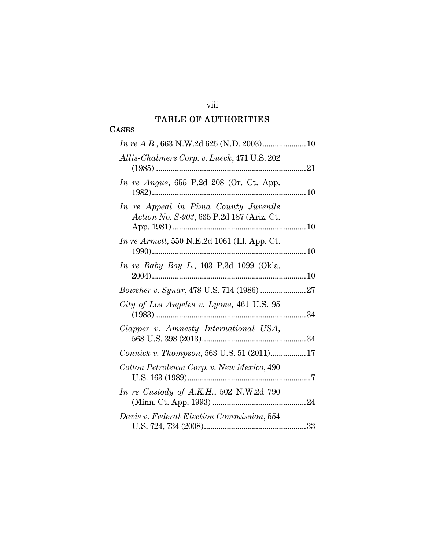# viii TABLE OF AUTHORITIES

## CASES

| Allis-Chalmers Corp. v. Lueck, 471 U.S. 202                                       |
|-----------------------------------------------------------------------------------|
| <i>In re Angus</i> , 655 P.2d 208 (Or. Ct. App.                                   |
| In re Appeal in Pima County Juvenile<br>Action No. S-903, 635 P.2d 187 (Ariz. Ct. |
| <i>In re Armell</i> , 550 N.E.2d 1061 (Ill. App. Ct.                              |
| In re Baby Boy L., 103 P.3d 1099 (Okla.                                           |
| Bowsher v. Synar, 478 U.S. 714 (1986) 27                                          |
| City of Los Angeles v. Lyons, 461 U.S. 95                                         |
| Clapper v. Amnesty International USA,                                             |
| Connick v. Thompson, 563 U.S. 51 (2011)17                                         |
| Cotton Petroleum Corp. v. New Mexico, 490                                         |
| In re Custody of A.K.H., 502 N.W.2d 790                                           |
| Davis v. Federal Election Commission, 554                                         |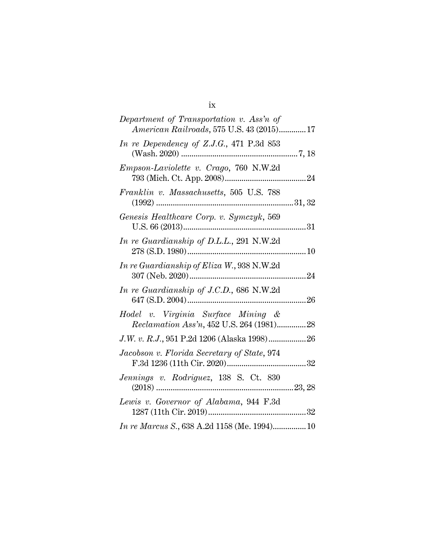| Department of Transportation v. Ass'n of<br>American Railroads, 575 U.S. 43 (2015) 17 |  |
|---------------------------------------------------------------------------------------|--|
| In re Dependency of Z.J.G., 471 P.3d 853                                              |  |
| Empson-Laviolette v. Crago, 760 N.W.2d                                                |  |
| Franklin v. Massachusetts, 505 U.S. 788                                               |  |
| Genesis Healthcare Corp. v. Symczyk, 569                                              |  |
| In re Guardianship of D.L.L., 291 N.W.2d                                              |  |
| In re Guardianship of Eliza W., 938 N.W.2d                                            |  |
| In re Guardianship of J.C.D., 686 N.W.2d                                              |  |
| Hodel v. Virginia Surface Mining &<br>Reclamation Ass'n, 452 U.S. 264 (1981)28        |  |
|                                                                                       |  |
| Jacobson v. Florida Secretary of State, 974                                           |  |
| Jennings v. Rodriguez, 138 S. Ct. 830                                                 |  |
| Lewis v. Governor of Alabama, 944 F.3d                                                |  |
|                                                                                       |  |

ix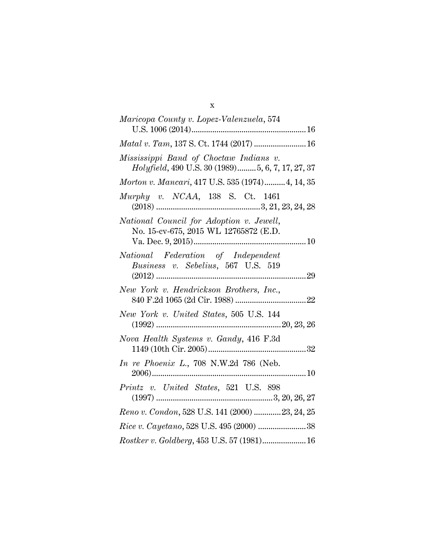| Maricopa County v. Lopez-Valenzuela, 574                                                   |
|--------------------------------------------------------------------------------------------|
|                                                                                            |
| Matal v. Tam, 137 S. Ct. 1744 (2017)  16                                                   |
| Mississippi Band of Choctaw Indians v.<br>Holyfield, 490 U.S. 30 (1989)5, 6, 7, 17, 27, 37 |
| Morton v. Mancari, 417 U.S. 535 (1974)4, 14, 35                                            |
| Murphy v. NCAA, 138 S. Ct. 1461                                                            |
| National Council for Adoption v. Jewell,<br>No. 15-cv-675, 2015 WL 12765872 (E.D.          |
| National Federation of Independent<br>Business v. Sebelius, 567 U.S. 519                   |
| New York v. Hendrickson Brothers, Inc.,                                                    |
| New York v. United States, 505 U.S. 144                                                    |
| Nova Health Systems v. Gandy, 416 F.3d                                                     |
| In re Phoenix L., 708 N.W.2d 786 (Neb.                                                     |
| Printz v. United States, 521 U.S. 898                                                      |
| Reno v. Condon, 528 U.S. 141 (2000) 23, 24, 25                                             |
| $Rice$ v. $Cayetano$ , 528 U.S. 495 (2000) 38                                              |
| Rostker v. Goldberg, 453 U.S. 57 (1981) 16                                                 |

## x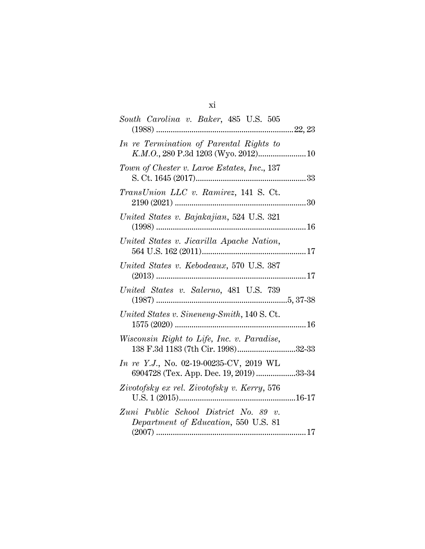| South Carolina v. Baker, 485 U.S. 505                                              |  |
|------------------------------------------------------------------------------------|--|
|                                                                                    |  |
| In re Termination of Parental Rights to<br>K.M.O., 280 P.3d 1203 (Wyo. 2012) 10    |  |
| Town of Chester v. Laroe Estates, Inc., 137                                        |  |
| TransUnion LLC v. Ramirez, 141 S. Ct.                                              |  |
| United States v. Bajakajian, 524 U.S. 321                                          |  |
| United States v. Jicarilla Apache Nation,                                          |  |
| United States v. Kebodeaux, 570 U.S. 387                                           |  |
| United States v. Salerno, 481 U.S. 739                                             |  |
| United States v. Sineneng-Smith, 140 S.Ct.                                         |  |
| Wisconsin Right to Life, Inc. v. Paradise,<br>138 F.3d 1183 (7th Cir. 1998)32-33   |  |
| In re Y.J., No. 02-19-00235-CV, 2019 WL<br>6904728 (Tex. App. Dec. 19, 2019) 33-34 |  |
| Zivotofsky ex rel. Zivotofsky v. Kerry, 576                                        |  |
| Zuni Public School District No. 89 v.<br>Department of Education, 550 U.S. 81      |  |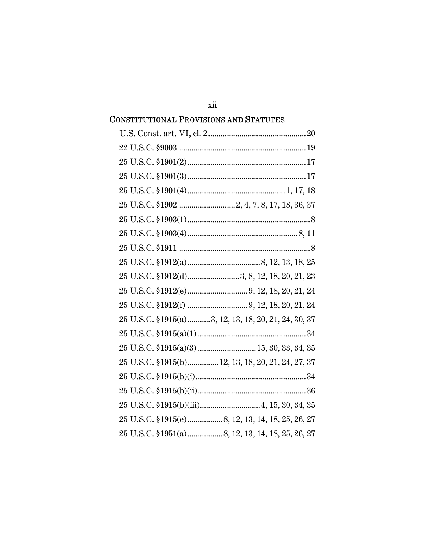# 25 U.S.C. §1915(a)............3, 12, 13, 18, 20, 21, 24, 30, 37 25 U.S.C. §1915(a)(3) ................................ 15, 30, 33, 34, 35 25 U.S.C. §1915(b)............... 12, 13, 18, 20, 21, 24, 27, 37

#### **CONSTITUTIONAL PROVISIONS AND STATUTES**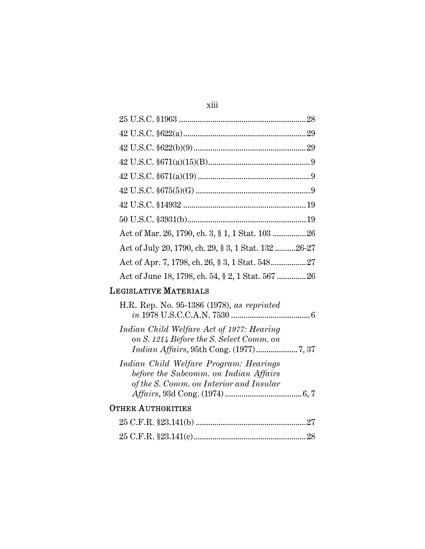| I |  |
|---|--|
|   |  |
|   |  |
|   |  |
|   |  |
|   |  |

| Act of July 20, 1790, ch. 29, § 3, 1 Stat. 132 26-27 |
|------------------------------------------------------|
|                                                      |
|                                                      |

# LEGISLATIVE MATERIALS

| H.R. Rep. No. 95-1386 (1978), as reprinted                                                                                 |  |
|----------------------------------------------------------------------------------------------------------------------------|--|
| Indian Child Welfare Act of 1977: Hearing<br>on S. 1214 Before the S. Select Comm. on                                      |  |
| Indian Child Welfare Program: Hearings<br>before the Subcomm. on Indian Affairs<br>of the S. Comm. on Interior and Insular |  |
| <b>OTHER AUTHORITIES</b>                                                                                                   |  |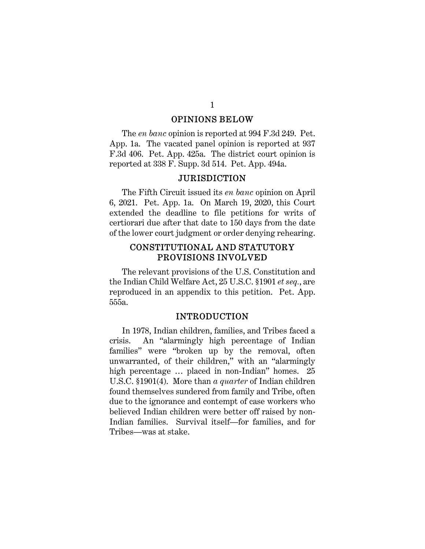#### OPINIONS BELOW

The *en banc* opinion is reported at 994 F.3d 249. Pet. App. 1a. The vacated panel opinion is reported at 937 F.3d 406. Pet. App. 425a. The district court opinion is reported at 338 F. Supp. 3d 514. Pet. App. 494a.

#### JURISDICTION

The Fifth Circuit issued its *en banc* opinion on April 6, 2021. Pet. App. 1a. On March 19, 2020, this Court extended the deadline to file petitions for writs of certiorari due after that date to 150 days from the date of the lower court judgment or order denying rehearing.

## CONSTITUTIONAL AND STATUTORY PROVISIONS INVOLVED

The relevant provisions of the U.S. Constitution and the Indian Child Welfare Act, 25 U.S.C. §1901 *et seq.*, are reproduced in an appendix to this petition. Pet. App. 555a.

#### INTRODUCTION

In 1978, Indian children, families, and Tribes faced a crisis. An "alarmingly high percentage of Indian families" were "broken up by the removal, often unwarranted, of their children," with an "alarmingly high percentage ... placed in non-Indian" homes. 25 U.S.C. §1901(4). More than *a quarter* of Indian children found themselves sundered from family and Tribe, often due to the ignorance and contempt of case workers who believed Indian children were better off raised by non-Indian families. Survival itself—for families, and for Tribes—was at stake.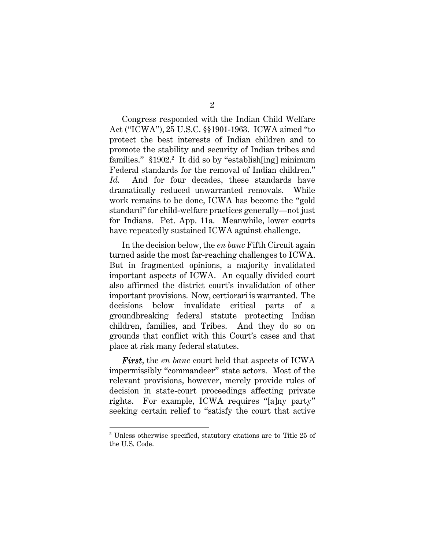Congress responded with the Indian Child Welfare Act ("ICWA"), 25 U.S.C. §§1901-1963. ICWA aimed "to protect the best interests of Indian children and to promote the stability and security of Indian tribes and families." §1902.<sup>2</sup> It did so by "establish[ing] minimum Federal standards for the removal of Indian children." *Id.* And for four decades, these standards have dramatically reduced unwarranted removals. While work remains to be done, ICWA has become the "gold standard" for child-welfare practices generally—not just for Indians. Pet. App. 11a. Meanwhile, lower courts have repeatedly sustained ICWA against challenge.

In the decision below, the *en banc* Fifth Circuit again turned aside the most far-reaching challenges to ICWA. But in fragmented opinions, a majority invalidated important aspects of ICWA. An equally divided court also affirmed the district court's invalidation of other important provisions. Now, certiorari is warranted. The decisions below invalidate critical parts of a groundbreaking federal statute protecting Indian children, families, and Tribes. And they do so on grounds that conflict with this Court's cases and that place at risk many federal statutes.

*First*, the *en banc* court held that aspects of ICWA impermissibly "commandeer" state actors. Most of the relevant provisions, however, merely provide rules of decision in state-court proceedings affecting private rights. For example, ICWA requires "[a]ny party" seeking certain relief to "satisfy the court that active

<sup>2</sup> Unless otherwise specified, statutory citations are to Title 25 of the U.S. Code.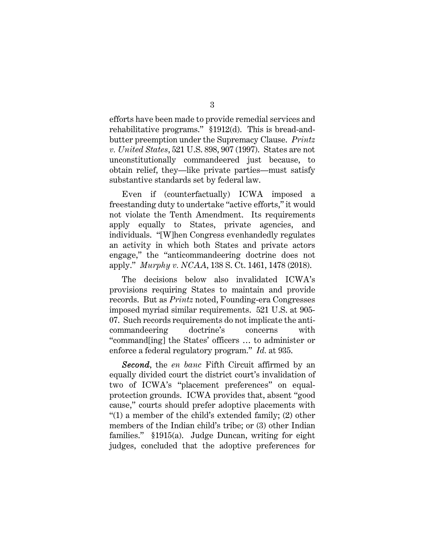efforts have been made to provide remedial services and rehabilitative programs." §1912(d). This is bread-andbutter preemption under the Supremacy Clause. *Printz v. United States*, 521 U.S. 898, 907 (1997). States are not unconstitutionally commandeered just because, to obtain relief, they—like private parties—must satisfy substantive standards set by federal law.

Even if (counterfactually) ICWA imposed a freestanding duty to undertake "active efforts," it would not violate the Tenth Amendment. Its requirements apply equally to States, private agencies, and individuals. "[W]hen Congress evenhandedly regulates an activity in which both States and private actors engage," the "anticommandeering doctrine does not apply." *Murphy v. NCAA*, 138 S. Ct. 1461, 1478 (2018).

The decisions below also invalidated ICWA's provisions requiring States to maintain and provide records. But as *Printz* noted, Founding-era Congresses imposed myriad similar requirements. 521 U.S. at 905- 07. Such records requirements do not implicate the anticommandeering doctrine's concerns with "command[ing] the States' officers … to administer or enforce a federal regulatory program." *Id.* at 935.

*Second*, the *en banc* Fifth Circuit affirmed by an equally divided court the district court's invalidation of two of ICWA's "placement preferences" on equalprotection grounds. ICWA provides that, absent "good cause," courts should prefer adoptive placements with "(1) a member of the child's extended family; (2) other members of the Indian child's tribe; or (3) other Indian families." §1915(a). Judge Duncan, writing for eight judges, concluded that the adoptive preferences for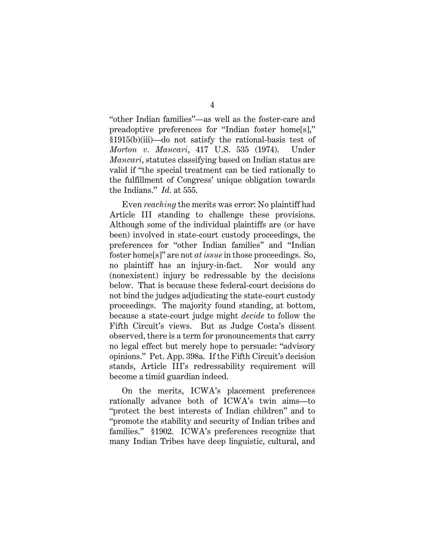"other Indian families"—as well as the foster-care and preadoptive preferences for "Indian foster home[s]," §1915(b)(iii)—do not satisfy the rational-basis test of *Morton v. Mancari*, 417 U.S. 535 (1974). Under *Mancari*, statutes classifying based on Indian status are valid if "the special treatment can be tied rationally to the fulfillment of Congress' unique obligation towards the Indians." *Id.* at 555.

Even *reaching* the merits was error: No plaintiff had Article III standing to challenge these provisions. Although some of the individual plaintiffs are (or have been) involved in state-court custody proceedings, the preferences for "other Indian families" and "Indian foster home[s]" are not *at issue* in those proceedings. So, no plaintiff has an injury-in-fact. Nor would any (nonexistent) injury be redressable by the decisions below. That is because these federal-court decisions do not bind the judges adjudicating the state-court custody proceedings. The majority found standing, at bottom, because a state-court judge might *decide* to follow the Fifth Circuit's views. But as Judge Costa's dissent observed, there is a term for pronouncements that carry no legal effect but merely hope to persuade: "advisory opinions." Pet. App. 398a. If the Fifth Circuit's decision stands, Article III's redressability requirement will become a timid guardian indeed.

On the merits, ICWA's placement preferences rationally advance both of ICWA's twin aims—to "protect the best interests of Indian children" and to "promote the stability and security of Indian tribes and families." §1902. ICWA's preferences recognize that many Indian Tribes have deep linguistic, cultural, and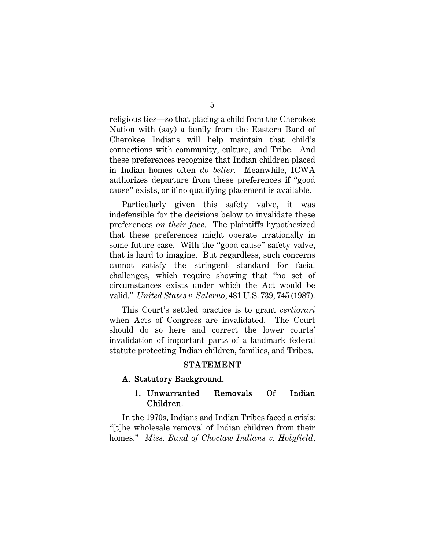religious ties—so that placing a child from the Cherokee Nation with (say) a family from the Eastern Band of Cherokee Indians will help maintain that child's connections with community, culture, and Tribe. And these preferences recognize that Indian children placed in Indian homes often *do better*. Meanwhile, ICWA authorizes departure from these preferences if "good cause" exists, or if no qualifying placement is available.

Particularly given this safety valve, it was indefensible for the decisions below to invalidate these preferences *on their face*. The plaintiffs hypothesized that these preferences might operate irrationally in some future case. With the "good cause" safety valve, that is hard to imagine. But regardless, such concerns cannot satisfy the stringent standard for facial challenges, which require showing that "no set of circumstances exists under which the Act would be valid." *United States v. Salerno*, 481 U.S. 739, 745 (1987).

This Court's settled practice is to grant *certiorari* when Acts of Congress are invalidated. The Court should do so here and correct the lower courts' invalidation of important parts of a landmark federal statute protecting Indian children, families, and Tribes.

#### STATEMENT

## A. Statutory Background.

## 1. Unwarranted Removals Of Indian Children.

In the 1970s, Indians and Indian Tribes faced a crisis: "[t]he wholesale removal of Indian children from their homes." *Miss. Band of Choctaw Indians v. Holyfield*,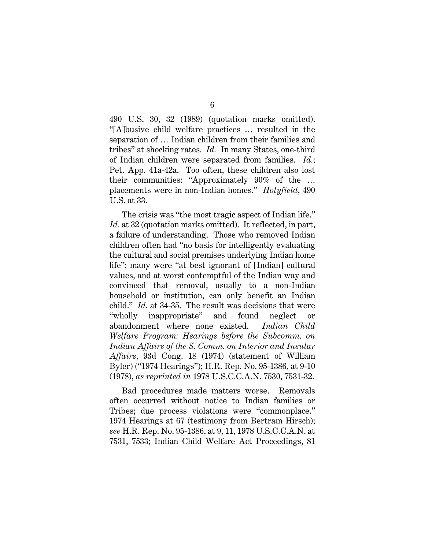490 U.S. 30, 32 (1989) (quotation marks omitted). "[A]busive child welfare practices … resulted in the separation of … Indian children from their families and tribes" at shocking rates. *Id.* In many States, one-third of Indian children were separated from families. *Id.*; Pet. App. 41a-42a. Too often, these children also lost their communities: "Approximately 90% of the … placements were in non-Indian homes." *Holyfield*, 490 U.S. at 33.

The crisis was "the most tragic aspect of Indian life." Id. at 32 (quotation marks omitted). It reflected, in part, a failure of understanding. Those who removed Indian children often had "no basis for intelligently evaluating the cultural and social premises underlying Indian home life"; many were "at best ignorant of [Indian] cultural values, and at worst contemptful of the Indian way and convinced that removal, usually to a non-Indian household or institution, can only benefit an Indian child." *Id.* at 34-35. The result was decisions that were "wholly inappropriate" and found neglect or abandonment where none existed. *Indian Child Welfare Program: Hearings before the Subcomm. on Indian Affairs of the S. Comm. on Interior and Insular Affairs*, 93d Cong. 18 (1974) (statement of William Byler) ("1974 Hearings"); H.R. Rep. No. 95-1386, at 9-10 (1978), *as reprinted in* 1978 U.S.C.C.A.N. 7530, 7531-32.

Bad procedures made matters worse. Removals often occurred without notice to Indian families or Tribes; due process violations were "commonplace." 1974 Hearings at 67 (testimony from Bertram Hirsch); *see* H.R. Rep. No. 95-1386, at 9, 11, 1978 U.S.C.C.A.N. at 7531, 7533; Indian Child Welfare Act Proceedings, 81

#### 6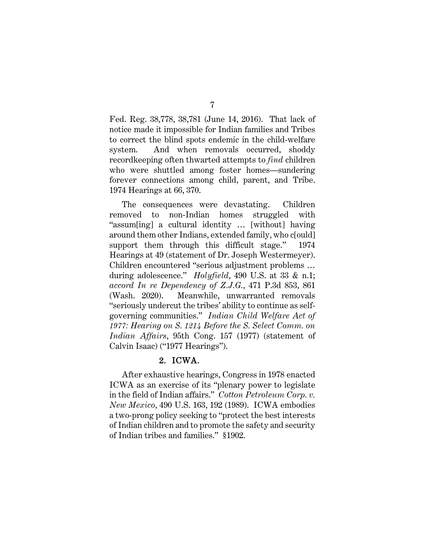Fed. Reg. 38,778, 38,781 (June 14, 2016). That lack of notice made it impossible for Indian families and Tribes to correct the blind spots endemic in the child-welfare system. And when removals occurred, shoddy recordkeeping often thwarted attempts to *find* children who were shuttled among foster homes—sundering forever connections among child, parent, and Tribe. 1974 Hearings at 66, 370.

The consequences were devastating. Children removed to non-Indian homes struggled with "assum[ing] a cultural identity … [without] having around them other Indians, extended family, who c[ould] support them through this difficult stage." 1974 Hearings at 49 (statement of Dr. Joseph Westermeyer). Children encountered "serious adjustment problems … during adolescence." *Holyfield*, 490 U.S. at 33 & n.1; *accord In re Dependency of Z.J.G.*, 471 P.3d 853, 861 (Wash. 2020). Meanwhile, unwarranted removals "seriously undercut the tribes' ability to continue as selfgoverning communities." *Indian Child Welfare Act of 1977: Hearing on S. 1214 Before the S. Select Comm. on Indian Affairs*, 95th Cong. 157 (1977) (statement of Calvin Isaac) ("1977 Hearings").

## 2. ICWA.

After exhaustive hearings, Congress in 1978 enacted ICWA as an exercise of its "plenary power to legislate in the field of Indian affairs." *Cotton Petroleum Corp. v. New Mexico*, 490 U.S. 163, 192 (1989). ICWA embodies a two-prong policy seeking to "protect the best interests of Indian children and to promote the safety and security of Indian tribes and families." §1902.

7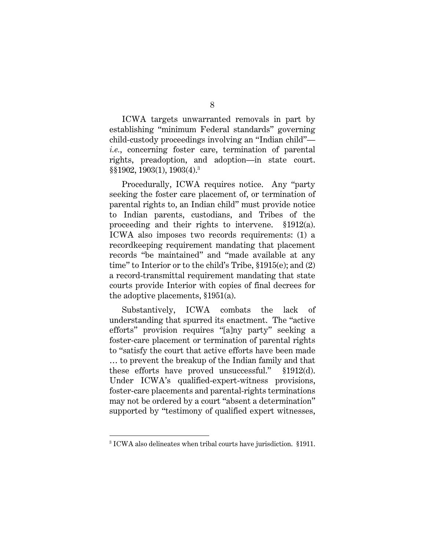ICWA targets unwarranted removals in part by establishing "minimum Federal standards" governing child-custody proceedings involving an "Indian child" *i.e.*, concerning foster care, termination of parental rights, preadoption, and adoption—in state court. §§1902, 1903(1), 1903(4).<sup>3</sup>

Procedurally, ICWA requires notice. Any "party seeking the foster care placement of, or termination of parental rights to, an Indian child" must provide notice to Indian parents, custodians, and Tribes of the proceeding and their rights to intervene. §1912(a). ICWA also imposes two records requirements: (1) a recordkeeping requirement mandating that placement records "be maintained" and "made available at any time" to Interior or to the child's Tribe, §1915(e); and (2) a record-transmittal requirement mandating that state courts provide Interior with copies of final decrees for the adoptive placements, §1951(a).

Substantively, ICWA combats the lack of understanding that spurred its enactment. The "active efforts" provision requires "[a]ny party" seeking a foster-care placement or termination of parental rights to "satisfy the court that active efforts have been made … to prevent the breakup of the Indian family and that these efforts have proved unsuccessful." §1912(d). Under ICWA's qualified-expert-witness provisions, foster-care placements and parental-rights terminations may not be ordered by a court "absent a determination" supported by "testimony of qualified expert witnesses,

<sup>3</sup> ICWA also delineates when tribal courts have jurisdiction. §1911.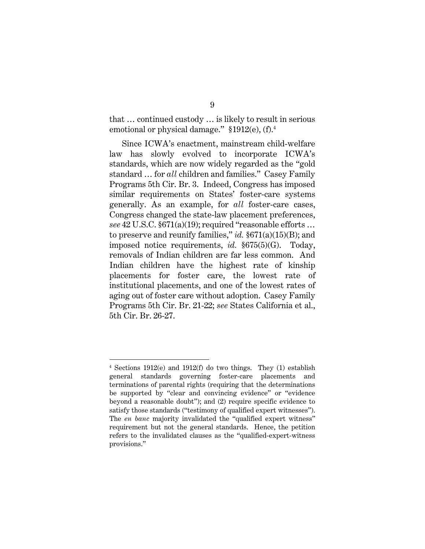that … continued custody … is likely to result in serious emotional or physical damage." §1912(e), (f).<sup>4</sup>

Since ICWA's enactment, mainstream child-welfare law has slowly evolved to incorporate ICWA's standards, which are now widely regarded as the "gold standard … for *all* children and families." Casey Family Programs 5th Cir. Br. 3. Indeed, Congress has imposed similar requirements on States' foster-care systems generally. As an example, for *all* foster-care cases, Congress changed the state-law placement preferences, *see* 42 U.S.C. §671(a)(19); required "reasonable efforts … to preserve and reunify families," *id.* §671(a)(15)(B); and imposed notice requirements, *id.* §675(5)(G). Today, removals of Indian children are far less common. And Indian children have the highest rate of kinship placements for foster care, the lowest rate of institutional placements, and one of the lowest rates of aging out of foster care without adoption. Casey Family Programs 5th Cir. Br. 21-22; *see* States California et al., 5th Cir. Br. 26-27.

<sup>4</sup> Sections 1912(e) and 1912(f) do two things. They (1) establish general standards governing foster-care placements and terminations of parental rights (requiring that the determinations be supported by "clear and convincing evidence" or "evidence beyond a reasonable doubt"); and (2) require specific evidence to satisfy those standards ("testimony of qualified expert witnesses"). The *en banc* majority invalidated the "qualified expert witness" requirement but not the general standards. Hence, the petition refers to the invalidated clauses as the "qualified-expert-witness provisions."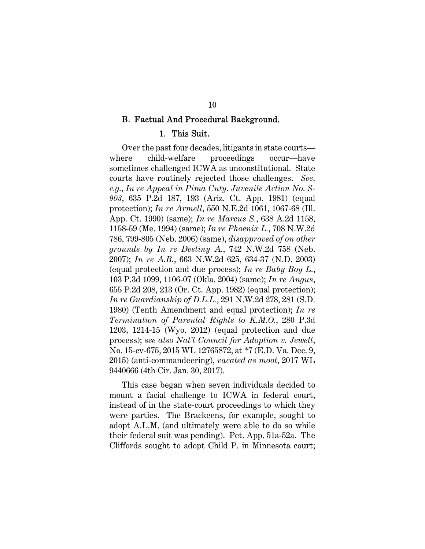#### B. Factual And Procedural Background.

#### 1. This Suit.

Over the past four decades, litigants in state courts where child-welfare proceedings occur—have sometimes challenged ICWA as unconstitutional. State courts have routinely rejected those challenges. *See, e.g.*, *In re Appeal in Pima Cnty. Juvenile Action No. S-903*, 635 P.2d 187, 193 (Ariz. Ct. App. 1981) (equal protection); *In re Armell*, 550 N.E.2d 1061, 1067-68 (Ill. App. Ct. 1990) (same); *In re Marcus S.*, 638 A.2d 1158, 1158-59 (Me. 1994) (same); *In re Phoenix L.*, 708 N.W.2d 786, 799-805 (Neb. 2006) (same), *disapproved of on other grounds by In re Destiny A.*, 742 N.W.2d 758 (Neb. 2007); *In re A.B.*, 663 N.W.2d 625, 634-37 (N.D. 2003) (equal protection and due process); *In re Baby Boy L.*, 103 P.3d 1099, 1106-07 (Okla. 2004) (same); *In re Angus*, 655 P.2d 208, 213 (Or. Ct. App. 1982) (equal protection); *In re Guardianship of D.L.L.*, 291 N.W.2d 278, 281 (S.D. 1980) (Tenth Amendment and equal protection); *In re Termination of Parental Rights to K.M.O.*, 280 P.3d 1203, 1214-15 (Wyo. 2012) (equal protection and due process); *see also Nat'l Council for Adoption v. Jewell*, No. 15-cv-675, 2015 WL 12765872, at \*7 (E.D. Va. Dec. 9, 2015) (anti-commandeering), *vacated as moot*, 2017 WL 9440666 (4th Cir. Jan. 30, 2017).

This case began when seven individuals decided to mount a facial challenge to ICWA in federal court, instead of in the state-court proceedings to which they were parties. The Brackeens, for example, sought to adopt A.L.M. (and ultimately were able to do so while their federal suit was pending). Pet. App. 51a-52a. The Cliffords sought to adopt Child P. in Minnesota court;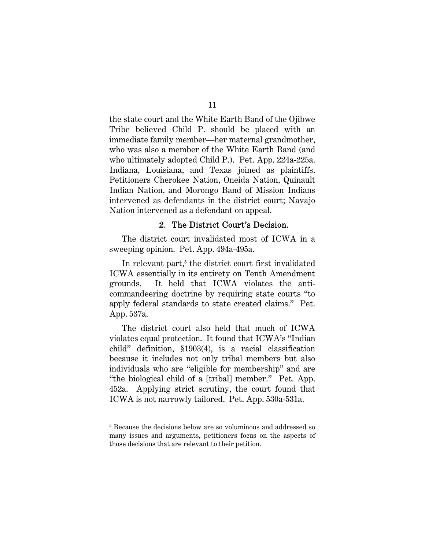the state court and the White Earth Band of the Ojibwe Tribe believed Child P. should be placed with an immediate family member—her maternal grandmother, who was also a member of the White Earth Band (and who ultimately adopted Child P.). Pet. App. 224a-225a. Indiana, Louisiana, and Texas joined as plaintiffs. Petitioners Cherokee Nation, Oneida Nation, Quinault Indian Nation, and Morongo Band of Mission Indians intervened as defendants in the district court; Navajo Nation intervened as a defendant on appeal.

#### 2. The District Court's Decision.

The district court invalidated most of ICWA in a sweeping opinion. Pet. App. 494a-495a.

In relevant part,<sup>5</sup> the district court first invalidated ICWA essentially in its entirety on Tenth Amendment grounds. It held that ICWA violates the anticommandeering doctrine by requiring state courts "to apply federal standards to state created claims." Pet. App. 537a.

The district court also held that much of ICWA violates equal protection. It found that ICWA's "Indian child" definition, §1903(4), is a racial classification because it includes not only tribal members but also individuals who are "eligible for membership" and are "the biological child of a [tribal] member." Pet. App. 452a. Applying strict scrutiny, the court found that ICWA is not narrowly tailored. Pet. App. 530a-531a.

<sup>&</sup>lt;sup>5</sup> Because the decisions below are so voluminous and addressed so many issues and arguments, petitioners focus on the aspects of those decisions that are relevant to their petition.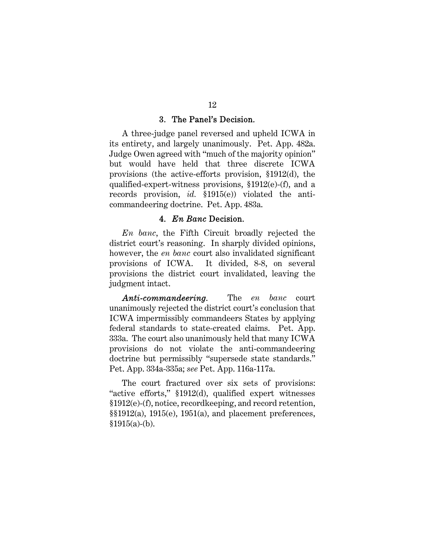#### 3. The Panel's Decision.

A three-judge panel reversed and upheld ICWA in its entirety, and largely unanimously. Pet. App. 482a. Judge Owen agreed with "much of the majority opinion" but would have held that three discrete ICWA provisions (the active-efforts provision, §1912(d), the qualified-expert-witness provisions, §1912(e)-(f), and a records provision, *id.* §1915(e)) violated the anticommandeering doctrine. Pet. App. 483a.

#### 4. *En Banc* Decision.

*En banc*, the Fifth Circuit broadly rejected the district court's reasoning. In sharply divided opinions, however, the *en banc* court also invalidated significant provisions of ICWA. It divided, 8-8, on several provisions the district court invalidated, leaving the judgment intact.

*Anti-commandeering.* The *en banc* court unanimously rejected the district court's conclusion that ICWA impermissibly commandeers States by applying federal standards to state-created claims. Pet. App. 333a. The court also unanimously held that many ICWA provisions do not violate the anti-commandeering doctrine but permissibly "supersede state standards." Pet. App. 334a-335a; *see* Pet. App. 116a-117a.

The court fractured over six sets of provisions: "active efforts," §1912(d), qualified expert witnesses §1912(e)-(f), notice, recordkeeping, and record retention,  $\S$ [912(a), 1915(e), 1951(a), and placement preferences,  $§1915(a)-(b).$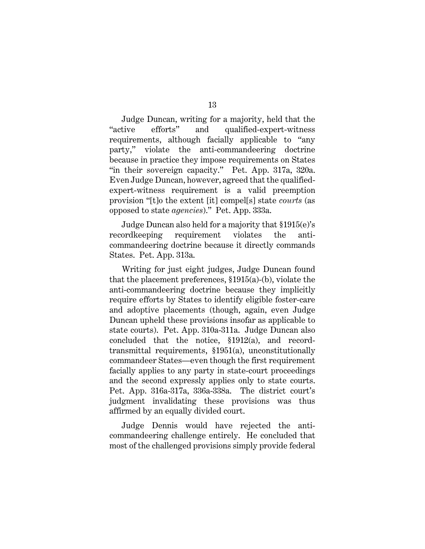Judge Duncan, writing for a majority, held that the "active efforts" and qualified-expert-witness requirements, although facially applicable to "any party," violate the anti-commandeering doctrine because in practice they impose requirements on States "in their sovereign capacity." Pet. App. 317a, 320a. Even Judge Duncan, however, agreed that the qualifiedexpert-witness requirement is a valid preemption provision "[t]o the extent [it] compel[s] state *courts* (as opposed to state *agencies*)." Pet. App. 333a.

Judge Duncan also held for a majority that §1915(e)'s recordkeeping requirement violates the anticommandeering doctrine because it directly commands States. Pet. App. 313a.

Writing for just eight judges, Judge Duncan found that the placement preferences, §1915(a)-(b), violate the anti-commandeering doctrine because they implicitly require efforts by States to identify eligible foster-care and adoptive placements (though, again, even Judge Duncan upheld these provisions insofar as applicable to state courts). Pet. App. 310a-311a. Judge Duncan also concluded that the notice, §1912(a), and recordtransmittal requirements, §1951(a), unconstitutionally commandeer States—even though the first requirement facially applies to any party in state-court proceedings and the second expressly applies only to state courts. Pet. App. 316a-317a, 336a-338a. The district court's judgment invalidating these provisions was thus affirmed by an equally divided court.

Judge Dennis would have rejected the anticommandeering challenge entirely. He concluded that most of the challenged provisions simply provide federal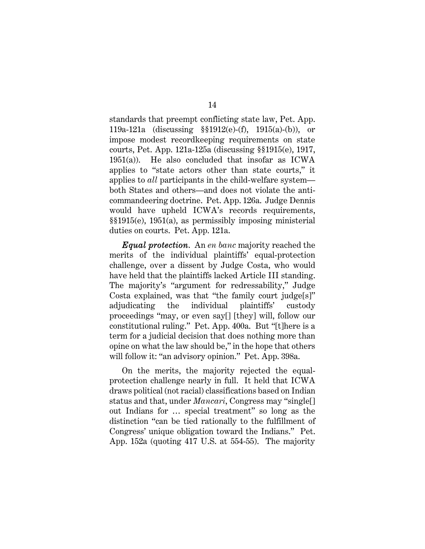standards that preempt conflicting state law, Pet. App. 119a-121a (discussing §§1912(e)-(f), 1915(a)-(b)), or impose modest recordkeeping requirements on state courts, Pet. App. 121a-125a (discussing §§1915(e), 1917, 1951(a)). He also concluded that insofar as ICWA applies to "state actors other than state courts," it applies to *all* participants in the child-welfare system both States and others—and does not violate the anticommandeering doctrine. Pet. App. 126a. Judge Dennis would have upheld ICWA's records requirements, §§1915(e), 1951(a), as permissibly imposing ministerial duties on courts. Pet. App. 121a.

*Equal protection*. An *en banc* majority reached the merits of the individual plaintiffs' equal-protection challenge, over a dissent by Judge Costa, who would have held that the plaintiffs lacked Article III standing. The majority's "argument for redressability," Judge Costa explained, was that "the family court judge[s]" adjudicating the individual plaintiffs' custody proceedings "may, or even say[] [they] will, follow our constitutional ruling." Pet. App. 400a. But "[t]here is a term for a judicial decision that does nothing more than opine on what the law should be," in the hope that others will follow it: "an advisory opinion." Pet. App. 398a.

On the merits, the majority rejected the equalprotection challenge nearly in full. It held that ICWA draws political (not racial) classifications based on Indian status and that, under *Mancari*, Congress may "single[] out Indians for … special treatment" so long as the distinction "can be tied rationally to the fulfillment of Congress' unique obligation toward the Indians." Pet. App. 152a (quoting 417 U.S. at 554-55). The majority

14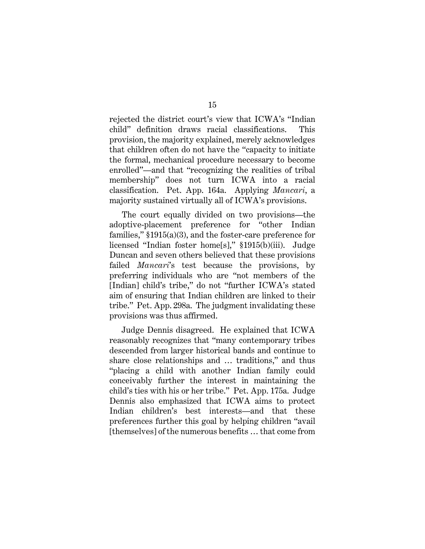rejected the district court's view that ICWA's "Indian child" definition draws racial classifications. This provision, the majority explained, merely acknowledges that children often do not have the "capacity to initiate the formal, mechanical procedure necessary to become enrolled"—and that "recognizing the realities of tribal membership" does not turn ICWA into a racial classification. Pet. App. 164a. Applying *Mancari*, a majority sustained virtually all of ICWA's provisions.

The court equally divided on two provisions—the adoptive-placement preference for "other Indian families," §1915(a)(3), and the foster-care preference for licensed "Indian foster home[s]," §1915(b)(iii). Judge Duncan and seven others believed that these provisions failed *Mancari*'s test because the provisions, by preferring individuals who are "not members of the [Indian] child's tribe," do not "further ICWA's stated aim of ensuring that Indian children are linked to their tribe." Pet. App. 298a. The judgment invalidating these provisions was thus affirmed.

Judge Dennis disagreed. He explained that ICWA reasonably recognizes that "many contemporary tribes descended from larger historical bands and continue to share close relationships and … traditions," and thus "placing a child with another Indian family could conceivably further the interest in maintaining the child's ties with his or her tribe." Pet. App. 175a. Judge Dennis also emphasized that ICWA aims to protect Indian children's best interests—and that these preferences further this goal by helping children "avail [themselves] of the numerous benefits … that come from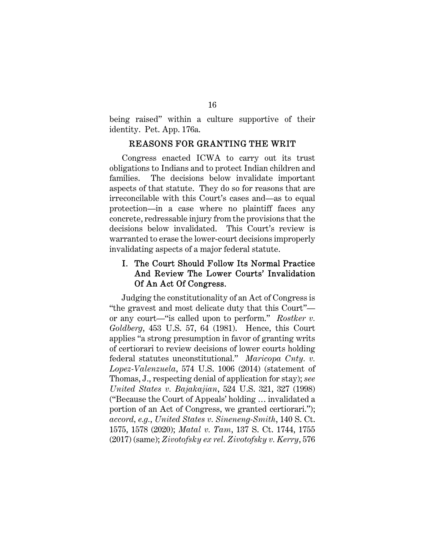being raised" within a culture supportive of their identity. Pet. App. 176a.

## REASONS FOR GRANTING THE WRIT

Congress enacted ICWA to carry out its trust obligations to Indians and to protect Indian children and families. The decisions below invalidate important aspects of that statute. They do so for reasons that are irreconcilable with this Court's cases and—as to equal protection—in a case where no plaintiff faces any concrete, redressable injury from the provisions that the decisions below invalidated. This Court's review is warranted to erase the lower-court decisions improperly invalidating aspects of a major federal statute.

## I. The Court Should Follow Its Normal Practice And Review The Lower Courts' Invalidation Of An Act Of Congress.

Judging the constitutionality of an Act of Congress is "the gravest and most delicate duty that this Court" or any court—"is called upon to perform." *Rostker v. Goldberg*, 453 U.S. 57, 64 (1981). Hence, this Court applies "a strong presumption in favor of granting writs of certiorari to review decisions of lower courts holding federal statutes unconstitutional." *Maricopa Cnty. v. Lopez-Valenzuela*, 574 U.S. 1006 (2014) (statement of Thomas, J., respecting denial of application for stay); *see United States v. Bajakajian*, 524 U.S. 321, 327 (1998) ("Because the Court of Appeals' holding … invalidated a portion of an Act of Congress, we granted certiorari."); *accord, e.g.*, *United States v. Sineneng-Smith*, 140 S. Ct. 1575, 1578 (2020); *Matal v. Tam*, 137 S. Ct. 1744, 1755 (2017) (same); *Zivotofsky ex rel. Zivotofsky v. Kerry*, 576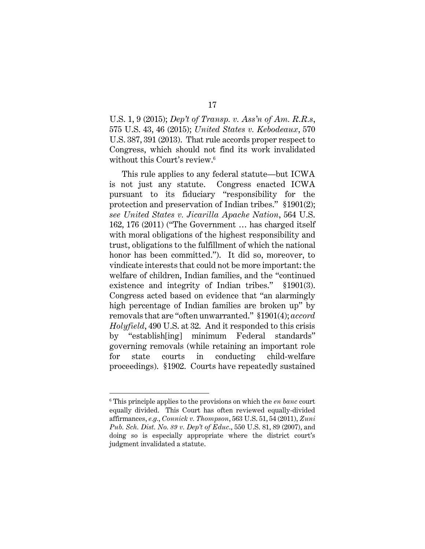U.S. 1, 9 (2015); *Dep't of Transp. v. Ass'n of Am. R.R.s*, 575 U.S. 43, 46 (2015); *United States v. Kebodeaux*, 570 U.S. 387, 391 (2013). That rule accords proper respect to Congress, which should not find its work invalidated without this Court's review.<sup>6</sup>

This rule applies to any federal statute—but ICWA is not just any statute. Congress enacted ICWA pursuant to its fiduciary "responsibility for the protection and preservation of Indian tribes." §1901(2); *see United States v. Jicarilla Apache Nation*, 564 U.S. 162, 176 (2011) ("The Government … has charged itself with moral obligations of the highest responsibility and trust, obligations to the fulfillment of which the national honor has been committed."). It did so, moreover, to vindicate interests that could not be more important: the welfare of children, Indian families, and the "continued existence and integrity of Indian tribes." §1901(3). Congress acted based on evidence that "an alarmingly high percentage of Indian families are broken up" by removals that are "often unwarranted." §1901(4); *accord Holyfield*, 490 U.S. at 32. And it responded to this crisis by "establish[ing] minimum Federal standards" governing removals (while retaining an important role for state courts in conducting child-welfare proceedings). §1902. Courts have repeatedly sustained

 $\overline{a}$ 

17

<sup>6</sup> This principle applies to the provisions on which the *en banc* court equally divided. This Court has often reviewed equally-divided affirmances, *e.g.*, *Connick v. Thompson*, 563 U.S. 51, 54 (2011), *Zuni Pub. Sch. Dist. No. 89 v. Dep't of Educ*., 550 U.S. 81, 89 (2007), and doing so is especially appropriate where the district court's judgment invalidated a statute.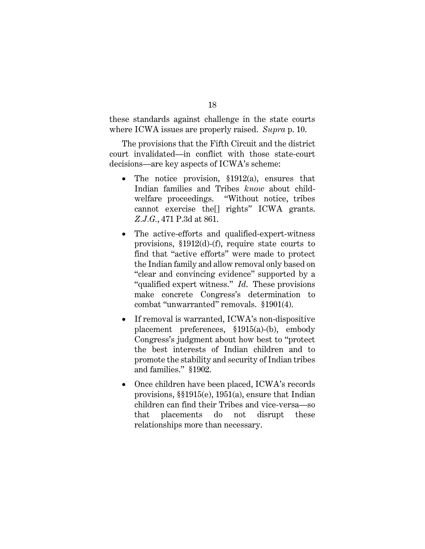these standards against challenge in the state courts where ICWA issues are properly raised. *Supra* p. 10.

The provisions that the Fifth Circuit and the district court invalidated—in conflict with those state-court decisions—are key aspects of ICWA's scheme:

- The notice provision, §1912(a), ensures that Indian families and Tribes *know* about childwelfare proceedings. "Without notice, tribes cannot exercise the[] rights" ICWA grants. *Z.J.G.*, 471 P.3d at 861.
- The active-efforts and qualified-expert-witness provisions, §1912(d)-(f), require state courts to find that "active efforts" were made to protect the Indian family and allow removal only based on "clear and convincing evidence" supported by a "qualified expert witness." *Id*. These provisions make concrete Congress's determination to combat "unwarranted" removals. §1901(4).
- If removal is warranted, ICWA's non-dispositive placement preferences, §1915(a)-(b), embody Congress's judgment about how best to "protect the best interests of Indian children and to promote the stability and security of Indian tribes and families." §1902.
- Once children have been placed, ICWA's records provisions, §§1915(e), 1951(a), ensure that Indian children can find their Tribes and vice-versa—so that placements do not disrupt these relationships more than necessary.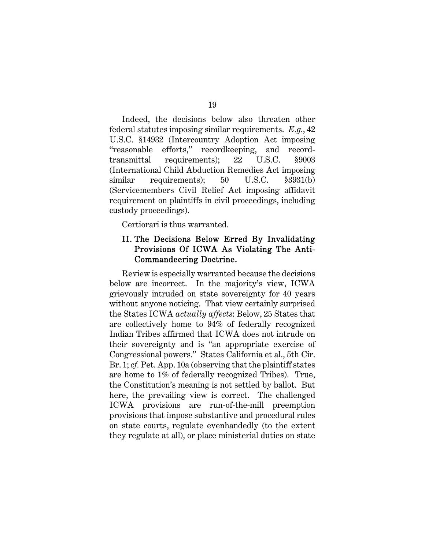Indeed, the decisions below also threaten other federal statutes imposing similar requirements. *E.g.*, 42 U.S.C. §14932 (Intercountry Adoption Act imposing "reasonable efforts," recordkeeping, and recordtransmittal requirements); 22 U.S.C. §9003 (International Child Abduction Remedies Act imposing similar requirements); 50 U.S.C. §3931(b) (Servicemembers Civil Relief Act imposing affidavit requirement on plaintiffs in civil proceedings, including custody proceedings).

Certiorari is thus warranted.

## II. The Decisions Below Erred By Invalidating Provisions Of ICWA As Violating The Anti-Commandeering Doctrine.

Review is especially warranted because the decisions below are incorrect. In the majority's view, ICWA grievously intruded on state sovereignty for 40 years without anyone noticing. That view certainly surprised the States ICWA *actually affects*: Below, 25 States that are collectively home to 94% of federally recognized Indian Tribes affirmed that ICWA does not intrude on their sovereignty and is "an appropriate exercise of Congressional powers." States California et al., 5th Cir. Br. 1; *cf.* Pet. App. 10a (observing that the plaintiff states are home to 1% of federally recognized Tribes). True, the Constitution's meaning is not settled by ballot. But here, the prevailing view is correct. The challenged ICWA provisions are run-of-the-mill preemption provisions that impose substantive and procedural rules on state courts, regulate evenhandedly (to the extent they regulate at all), or place ministerial duties on state

#### 19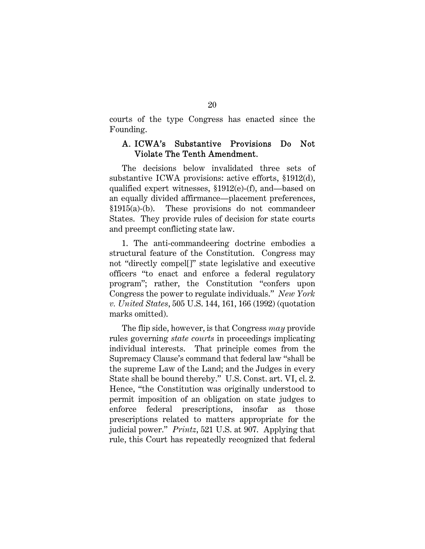courts of the type Congress has enacted since the Founding.

## A. ICWA's Substantive Provisions Do Not Violate The Tenth Amendment.

The decisions below invalidated three sets of substantive ICWA provisions: active efforts, §1912(d), qualified expert witnesses, §1912(e)-(f), and—based on an equally divided affirmance—placement preferences, §1915(a)-(b). These provisions do not commandeer States. They provide rules of decision for state courts and preempt conflicting state law.

1. The anti-commandeering doctrine embodies a structural feature of the Constitution. Congress may not "directly compel[]" state legislative and executive officers "to enact and enforce a federal regulatory program"; rather, the Constitution "confers upon Congress the power to regulate individuals." *New York v. United States*, 505 U.S. 144, 161, 166 (1992) (quotation marks omitted).

The flip side, however, is that Congress *may* provide rules governing *state courts* in proceedings implicating individual interests. That principle comes from the Supremacy Clause's command that federal law "shall be the supreme Law of the Land; and the Judges in every State shall be bound thereby." U.S. Const. art. VI, cl. 2. Hence, "the Constitution was originally understood to permit imposition of an obligation on state judges to enforce federal prescriptions, insofar as those prescriptions related to matters appropriate for the judicial power." *Printz*, 521 U.S. at 907. Applying that rule, this Court has repeatedly recognized that federal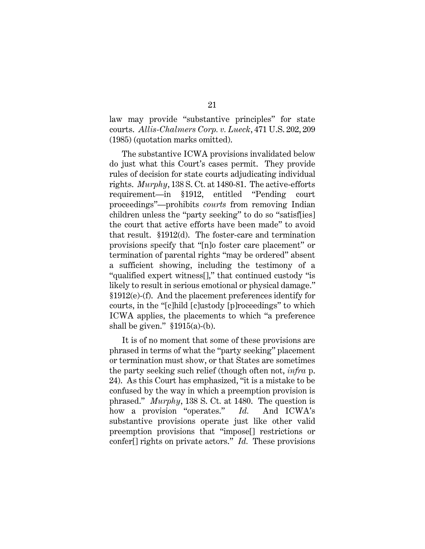law may provide "substantive principles" for state courts. *Allis-Chalmers Corp. v. Lueck*, 471 U.S. 202, 209 (1985) (quotation marks omitted).

The substantive ICWA provisions invalidated below do just what this Court's cases permit. They provide rules of decision for state courts adjudicating individual rights. *Murphy*, 138 S. Ct*.* at 1480-81. The active-efforts requirement—in §1912, entitled "Pending court proceedings"—prohibits *courts* from removing Indian children unless the "party seeking" to do so "satisf[ies] the court that active efforts have been made" to avoid that result. §1912(d). The foster-care and termination provisions specify that "[n]o foster care placement" or termination of parental rights "may be ordered" absent a sufficient showing, including the testimony of a "qualified expert witness[]," that continued custody "is likely to result in serious emotional or physical damage." §1912(e)-(f). And the placement preferences identify for courts, in the "[c]hild [c]ustody [p]roceedings" to which ICWA applies, the placements to which "a preference shall be given."  $$1915(a)-(b)$ .

It is of no moment that some of these provisions are phrased in terms of what the "party seeking" placement or termination must show, or that States are sometimes the party seeking such relief (though often not, *infra* p. 24). As this Court has emphasized, "it is a mistake to be confused by the way in which a preemption provision is phrased." *Murphy*, 138 S. Ct*.* at 1480. The question is how a provision "operates." *Id.* And ICWA's substantive provisions operate just like other valid preemption provisions that "impose[] restrictions or confer[] rights on private actors." *Id.* These provisions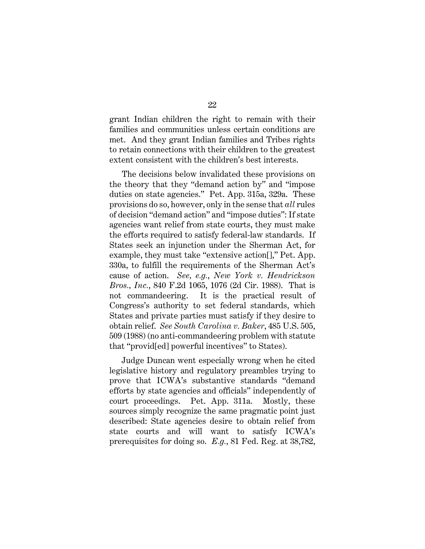grant Indian children the right to remain with their families and communities unless certain conditions are met. And they grant Indian families and Tribes rights to retain connections with their children to the greatest extent consistent with the children's best interests.

The decisions below invalidated these provisions on the theory that they "demand action by" and "impose duties on state agencies." Pet. App. 315a, 329a. These provisions do so, however, only in the sense that *all* rules of decision "demand action" and "impose duties": If state agencies want relief from state courts, they must make the efforts required to satisfy federal-law standards. If States seek an injunction under the Sherman Act, for example, they must take "extensive action[]," Pet. App. 330a, to fulfill the requirements of the Sherman Act's cause of action. *See, e.g.*, *New York v. Hendrickson Bros., Inc.*, 840 F.2d 1065, 1076 (2d Cir. 1988). That is not commandeering. It is the practical result of Congress's authority to set federal standards, which States and private parties must satisfy if they desire to obtain relief. *See South Carolina v. Baker*, 485 U.S. 505, 509 (1988) (no anti-commandeering problem with statute that "provid[ed] powerful incentives" to States).

Judge Duncan went especially wrong when he cited legislative history and regulatory preambles trying to prove that ICWA's substantive standards "demand efforts by state agencies and officials" independently of court proceedings. Pet. App. 311a. Mostly, these sources simply recognize the same pragmatic point just described: State agencies desire to obtain relief from state courts and will want to satisfy ICWA's prerequisites for doing so. *E.g.*, 81 Fed. Reg. at 38,782,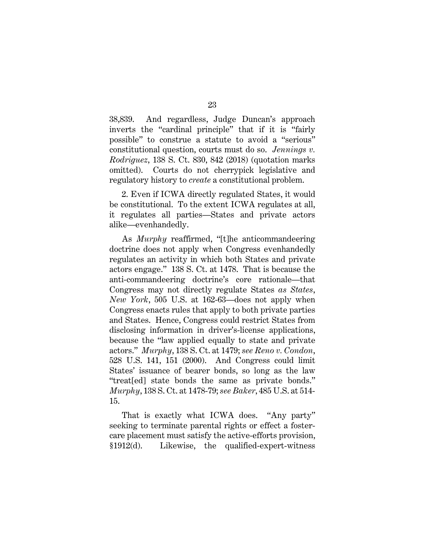38,839. And regardless, Judge Duncan's approach inverts the "cardinal principle" that if it is "fairly possible" to construe a statute to avoid a "serious" constitutional question, courts must do so. *Jennings v. Rodriguez*, 138 S. Ct. 830, 842 (2018) (quotation marks omitted). Courts do not cherrypick legislative and regulatory history to *create* a constitutional problem.

2. Even if ICWA directly regulated States, it would be constitutional. To the extent ICWA regulates at all, it regulates all parties—States and private actors alike—evenhandedly.

As *Murphy* reaffirmed, "[t]he anticommandeering doctrine does not apply when Congress evenhandedly regulates an activity in which both States and private actors engage." 138 S. Ct. at 1478. That is because the anti-commandeering doctrine's core rationale—that Congress may not directly regulate States *as States*, *New York*, 505 U.S. at 162-63—does not apply when Congress enacts rules that apply to both private parties and States. Hence, Congress could restrict States from disclosing information in driver's-license applications, because the "law applied equally to state and private actors." *Murphy*, 138 S. Ct. at 1479; *see Reno v. Condon*, 528 U.S. 141, 151 (2000). And Congress could limit States' issuance of bearer bonds, so long as the law "treat[ed] state bonds the same as private bonds." *Murphy*, 138 S. Ct. at 1478-79; *see Baker*, 485 U.S. at 514- 15.

That is exactly what ICWA does. "Any party" seeking to terminate parental rights or effect a fostercare placement must satisfy the active-efforts provision, §1912(d). Likewise, the qualified-expert-witness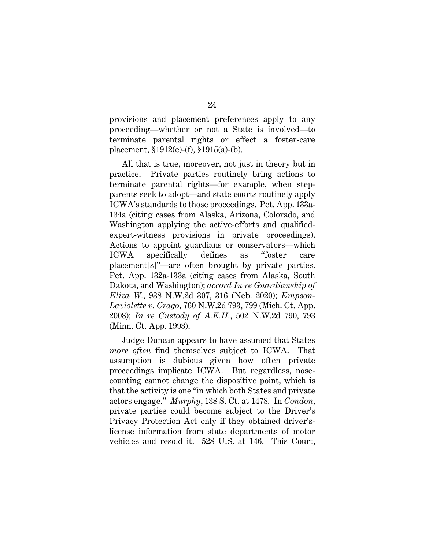provisions and placement preferences apply to any proceeding—whether or not a State is involved—to terminate parental rights or effect a foster-care placement, §1912(e)-(f), §1915(a)-(b).

All that is true, moreover, not just in theory but in practice. Private parties routinely bring actions to terminate parental rights—for example, when stepparents seek to adopt—and state courts routinely apply ICWA's standards to those proceedings. Pet. App. 133a-134a (citing cases from Alaska, Arizona, Colorado, and Washington applying the active-efforts and qualifiedexpert-witness provisions in private proceedings). Actions to appoint guardians or conservators—which ICWA specifically defines as "foster care placement[s]"—are often brought by private parties. Pet. App. 132a-133a (citing cases from Alaska, South Dakota, and Washington); *accord In re Guardianship of Eliza W.*, 938 N.W.2d 307, 316 (Neb. 2020); *Empson-Laviolette v. Crago*, 760 N.W.2d 793, 799 (Mich. Ct. App. 2008); *In re Custody of A.K.H.*, 502 N.W.2d 790, 793 (Minn. Ct. App. 1993).

Judge Duncan appears to have assumed that States *more often* find themselves subject to ICWA. That assumption is dubious given how often private proceedings implicate ICWA. But regardless, nosecounting cannot change the dispositive point, which is that the activity is one "in which both States and private actors engage." *Murphy*, 138 S. Ct. at 1478. In *Condon*, private parties could become subject to the Driver's Privacy Protection Act only if they obtained driver'slicense information from state departments of motor vehicles and resold it. 528 U.S. at 146. This Court,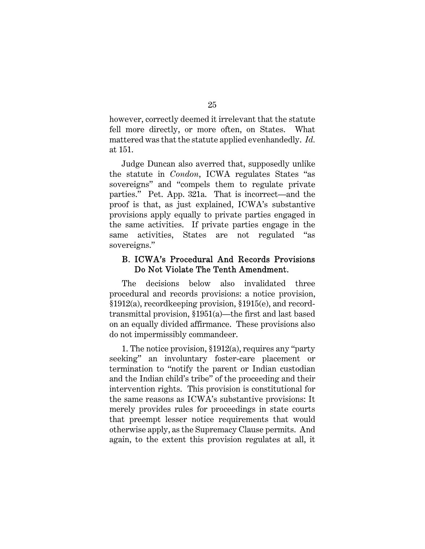however, correctly deemed it irrelevant that the statute fell more directly, or more often, on States. What mattered was that the statute applied evenhandedly. *Id.* at 151.

Judge Duncan also averred that, supposedly unlike the statute in *Condon*, ICWA regulates States "as sovereigns" and "compels them to regulate private parties." Pet. App. 321a. That is incorrect—and the proof is that, as just explained, ICWA's substantive provisions apply equally to private parties engaged in the same activities. If private parties engage in the same activities, States are not regulated "as sovereigns."

## B. ICWA's Procedural And Records Provisions Do Not Violate The Tenth Amendment.

The decisions below also invalidated three procedural and records provisions: a notice provision, §1912(a), recordkeeping provision, §1915(e), and recordtransmittal provision, §1951(a)—the first and last based on an equally divided affirmance. These provisions also do not impermissibly commandeer.

1. The notice provision, §1912(a), requires any "party seeking" an involuntary foster-care placement or termination to "notify the parent or Indian custodian and the Indian child's tribe" of the proceeding and their intervention rights. This provision is constitutional for the same reasons as ICWA's substantive provisions: It merely provides rules for proceedings in state courts that preempt lesser notice requirements that would otherwise apply, as the Supremacy Clause permits. And again, to the extent this provision regulates at all, it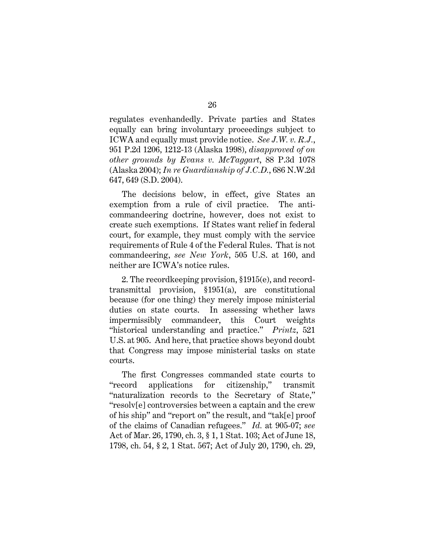regulates evenhandedly. Private parties and States equally can bring involuntary proceedings subject to ICWA and equally must provide notice. *See J.W. v. R.J.*, 951 P.2d 1206, 1212-13 (Alaska 1998), *disapproved of on other grounds by Evans v. McTaggart*, 88 P.3d 1078 (Alaska 2004); *In re Guardianship of J.C.D.*, 686 N.W.2d 647, 649 (S.D. 2004).

The decisions below, in effect, give States an exemption from a rule of civil practice. The anticommandeering doctrine, however, does not exist to create such exemptions. If States want relief in federal court, for example, they must comply with the service requirements of Rule 4 of the Federal Rules. That is not commandeering, *see New York*, 505 U.S. at 160, and neither are ICWA's notice rules.

2. The recordkeeping provision, §1915(e), and recordtransmittal provision, §1951(a), are constitutional because (for one thing) they merely impose ministerial duties on state courts. In assessing whether laws impermissibly commandeer, this Court weights "historical understanding and practice." *Printz*, 521 U.S. at 905. And here, that practice shows beyond doubt that Congress may impose ministerial tasks on state courts.

The first Congresses commanded state courts to "record applications for citizenship," transmit "naturalization records to the Secretary of State," "resolv[e] controversies between a captain and the crew of his ship" and "report on" the result, and "tak[e] proof of the claims of Canadian refugees." *Id.* at 905-07; *see* Act of Mar. 26, 1790, ch. 3, § 1, 1 Stat. 103; Act of June 18, 1798, ch. 54, § 2, 1 Stat. 567; Act of July 20, 1790, ch. 29,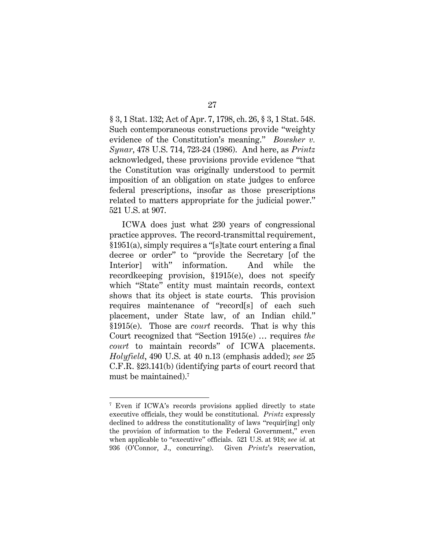§ 3, 1 Stat. 132; Act of Apr. 7, 1798, ch. 26, § 3, 1 Stat. 548. Such contemporaneous constructions provide "weighty evidence of the Constitution's meaning." *Bowsher v. Synar*, 478 U.S. 714, 723-24 (1986). And here, as *Printz* acknowledged, these provisions provide evidence "that the Constitution was originally understood to permit imposition of an obligation on state judges to enforce federal prescriptions, insofar as those prescriptions related to matters appropriate for the judicial power." 521 U.S. at 907.

ICWA does just what 230 years of congressional practice approves. The record-transmittal requirement, §1951(a), simply requires a "[s]tate court entering a final decree or order" to "provide the Secretary [of the Interior] with" information. And while the recordkeeping provision, §1915(e), does not specify which "State" entity must maintain records, context shows that its object is state courts. This provision requires maintenance of "record[s] of each such placement, under State law, of an Indian child." §1915(e). Those are *court* records. That is why this Court recognized that "Section 1915(e) … requires *the court* to maintain records" of ICWA placements. *Holyfield*, 490 U.S. at 40 n.13 (emphasis added); *see* 25 C.F.R. §23.141(b) (identifying parts of court record that must be maintained).<sup>7</sup>

 $\overline{a}$ 

27

<sup>7</sup> Even if ICWA's records provisions applied directly to state executive officials, they would be constitutional. *Printz* expressly declined to address the constitutionality of laws "requir[ing] only the provision of information to the Federal Government," even when applicable to "executive" officials. 521 U.S. at 918; *see id.* at 936 (O'Connor, J., concurring). Given *Printz*'s reservation,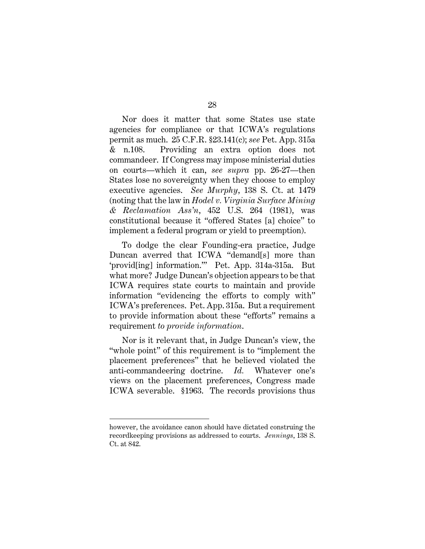Nor does it matter that some States use state agencies for compliance or that ICWA's regulations permit as much. 25 C.F.R. §23.141(c); *see* Pet. App. 315a & n.108. Providing an extra option does not commandeer. If Congress may impose ministerial duties on courts—which it can, *see supra* pp. 26-27—then States lose no sovereignty when they choose to employ executive agencies. *See Murphy*, 138 S. Ct. at 1479 (noting that the law in *Hodel v. Virginia Surface Mining & Reclamation Ass'n*, 452 U.S. 264 (1981), was constitutional because it "offered States [a] choice" to implement a federal program or yield to preemption).

To dodge the clear Founding-era practice, Judge Duncan averred that ICWA "demand[s] more than 'provid[ing] information.'" Pet. App. 314a-315a. But what more? Judge Duncan's objection appears to be that ICWA requires state courts to maintain and provide information "evidencing the efforts to comply with" ICWA's preferences. Pet. App. 315a. But a requirement to provide information about these "efforts" remains a requirement *to provide information*.

Nor is it relevant that, in Judge Duncan's view, the "whole point" of this requirement is to "implement the placement preferences" that he believed violated the anti-commandeering doctrine. *Id.* Whatever one's views on the placement preferences, Congress made ICWA severable. §1963. The records provisions thus

however, the avoidance canon should have dictated construing the recordkeeping provisions as addressed to courts. *Jennings*, 138 S. Ct. at 842.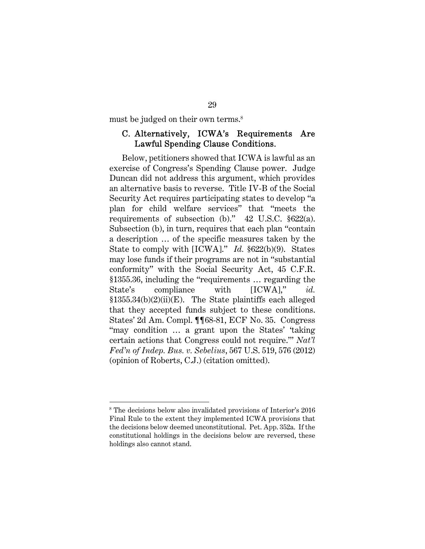must be judged on their own terms.<sup>8</sup>

## C. Alternatively, ICWA's Requirements Are Lawful Spending Clause Conditions.

Below, petitioners showed that ICWA is lawful as an exercise of Congress's Spending Clause power. Judge Duncan did not address this argument, which provides an alternative basis to reverse. Title IV-B of the Social Security Act requires participating states to develop "a plan for child welfare services" that "meets the requirements of subsection (b)." 42 U.S.C. §622(a). Subsection (b), in turn, requires that each plan "contain a description … of the specific measures taken by the State to comply with [ICWA]." *Id.* §622(b)(9). States may lose funds if their programs are not in "substantial conformity" with the Social Security Act, 45 C.F.R. §1355.36, including the "requirements … regarding the State's compliance with [ICWA]," *id.* §1355.34(b)(2)(ii)(E). The State plaintiffs each alleged that they accepted funds subject to these conditions. States' 2d Am. Compl. ¶¶68-81, ECF No. 35. Congress "may condition … a grant upon the States' 'taking certain actions that Congress could not require.'" *Nat'l Fed'n of Indep. Bus. v. Sebelius*, 567 U.S. 519, 576 (2012) (opinion of Roberts, C.J.) (citation omitted).

 $\overline{a}$ 

#### 29

<sup>8</sup> The decisions below also invalidated provisions of Interior's 2016 Final Rule to the extent they implemented ICWA provisions that the decisions below deemed unconstitutional. Pet. App. 352a. If the constitutional holdings in the decisions below are reversed, these holdings also cannot stand.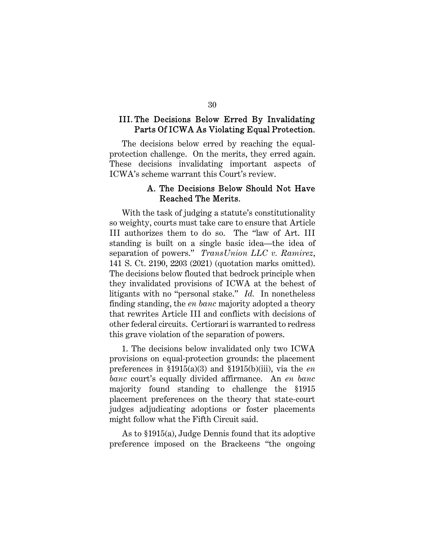## III. The Decisions Below Erred By Invalidating Parts Of ICWA As Violating Equal Protection.

The decisions below erred by reaching the equalprotection challenge. On the merits, they erred again. These decisions invalidating important aspects of ICWA's scheme warrant this Court's review.

## A. The Decisions Below Should Not Have Reached The Merits.

With the task of judging a statute's constitutionality so weighty, courts must take care to ensure that Article III authorizes them to do so. The "law of Art. III standing is built on a single basic idea—the idea of separation of powers." *TransUnion LLC v. Ramirez*, 141 S. Ct. 2190, 2203 (2021) (quotation marks omitted). The decisions below flouted that bedrock principle when they invalidated provisions of ICWA at the behest of litigants with no "personal stake." *Id.* In nonetheless finding standing, the *en banc* majority adopted a theory that rewrites Article III and conflicts with decisions of other federal circuits. Certiorari is warranted to redress this grave violation of the separation of powers.

1. The decisions below invalidated only two ICWA provisions on equal-protection grounds: the placement preferences in §1915(a)(3) and §1915(b)(iii), via the *en banc* court's equally divided affirmance. An *en banc* majority found standing to challenge the §1915 placement preferences on the theory that state-court judges adjudicating adoptions or foster placements might follow what the Fifth Circuit said.

As to §1915(a), Judge Dennis found that its adoptive preference imposed on the Brackeens "the ongoing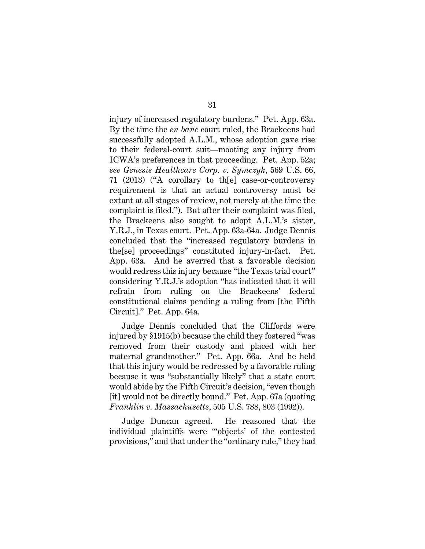injury of increased regulatory burdens." Pet. App. 63a. By the time the *en banc* court ruled, the Brackeens had successfully adopted A.L.M., whose adoption gave rise to their federal-court suit—mooting any injury from ICWA's preferences in that proceeding. Pet. App. 52a; *see Genesis Healthcare Corp. v. Symczyk*, 569 U.S. 66, 71 (2013) ("A corollary to th[e] case-or-controversy requirement is that an actual controversy must be extant at all stages of review, not merely at the time the complaint is filed."). But after their complaint was filed, the Brackeens also sought to adopt A.L.M.'s sister, Y.R.J., in Texas court. Pet. App. 63a-64a. Judge Dennis concluded that the "increased regulatory burdens in the[se] proceedings" constituted injury-in-fact. Pet. App. 63a. And he averred that a favorable decision would redress this injury because "the Texas trial court" considering Y.R.J.'s adoption "has indicated that it will refrain from ruling on the Brackeens' federal constitutional claims pending a ruling from [the Fifth Circuit]." Pet. App. 64a.

Judge Dennis concluded that the Cliffords were injured by §1915(b) because the child they fostered "was removed from their custody and placed with her maternal grandmother." Pet. App. 66a. And he held that this injury would be redressed by a favorable ruling because it was "substantially likely" that a state court would abide by the Fifth Circuit's decision, "even though [it] would not be directly bound." Pet. App. 67a (quoting *Franklin v. Massachusetts*, 505 U.S. 788, 803 (1992)).

Judge Duncan agreed. He reasoned that the individual plaintiffs were "'objects' of the contested provisions," and that under the "ordinary rule," they had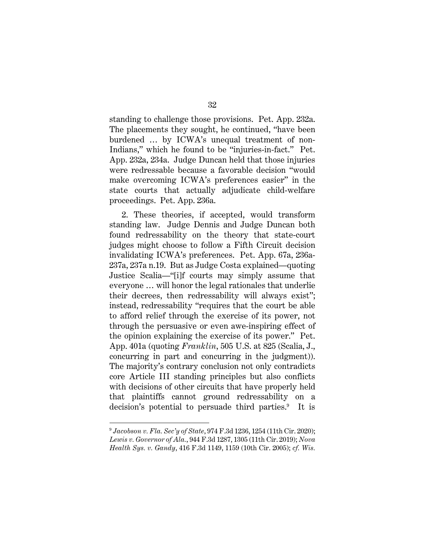standing to challenge those provisions. Pet. App. 232a. The placements they sought, he continued, "have been burdened … by ICWA's unequal treatment of non-Indians," which he found to be "injuries-in-fact." Pet. App. 232a, 234a. Judge Duncan held that those injuries were redressable because a favorable decision "would make overcoming ICWA's preferences easier" in the state courts that actually adjudicate child-welfare proceedings. Pet. App. 236a.

2. These theories, if accepted, would transform standing law. Judge Dennis and Judge Duncan both found redressability on the theory that state-court judges might choose to follow a Fifth Circuit decision invalidating ICWA's preferences. Pet. App. 67a, 236a-237a, 237a n.19. But as Judge Costa explained—quoting Justice Scalia—"[i]f courts may simply assume that everyone … will honor the legal rationales that underlie their decrees, then redressability will always exist"; instead, redressability "requires that the court be able to afford relief through the exercise of its power, not through the persuasive or even awe-inspiring effect of the opinion explaining the exercise of its power." Pet. App. 401a (quoting *Franklin*, 505 U.S. at 825 (Scalia, J., concurring in part and concurring in the judgment)). The majority's contrary conclusion not only contradicts core Article III standing principles but also conflicts with decisions of other circuits that have properly held that plaintiffs cannot ground redressability on a decision's potential to persuade third parties.<sup>9</sup> It is

<sup>9</sup> *Jacobson v. Fla. Sec'y of State*, 974 F.3d 1236, 1254 (11th Cir. 2020); *Lewis v. Governor of Ala.*, 944 F.3d 1287, 1305 (11th Cir. 2019); *Nova Health Sys. v. Gandy*, 416 F.3d 1149, 1159 (10th Cir. 2005); *cf. Wis.*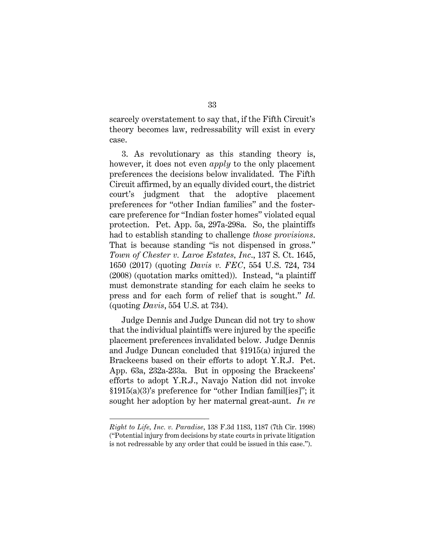scarcely overstatement to say that, if the Fifth Circuit's theory becomes law, redressability will exist in every case.

3. As revolutionary as this standing theory is, however, it does not even *apply* to the only placement preferences the decisions below invalidated. The Fifth Circuit affirmed, by an equally divided court, the district court's judgment that the adoptive placement preferences for "other Indian families" and the fostercare preference for "Indian foster homes" violated equal protection. Pet. App. 5a, 297a-298a. So, the plaintiffs had to establish standing to challenge *those provisions*. That is because standing "is not dispensed in gross." *Town of Chester v. Laroe Estates, Inc*., 137 S. Ct. 1645, 1650 (2017) (quoting *Davis v. FEC*, 554 U.S. 724, 734 (2008) (quotation marks omitted)). Instead, "a plaintiff must demonstrate standing for each claim he seeks to press and for each form of relief that is sought." *Id.*  (quoting *Davis*, 554 U.S. at 734).

Judge Dennis and Judge Duncan did not try to show that the individual plaintiffs were injured by the specific placement preferences invalidated below. Judge Dennis and Judge Duncan concluded that §1915(a) injured the Brackeens based on their efforts to adopt Y.R.J. Pet. App. 63a, 232a-233a. But in opposing the Brackeens' efforts to adopt Y.R.J., Navajo Nation did not invoke §1915(a)(3)'s preference for "other Indian famil[ies]"; it sought her adoption by her maternal great-aunt. *In re* 

*Right to Life, Inc. v. Paradise*, 138 F.3d 1183, 1187 (7th Cir. 1998) ("Potential injury from decisions by state courts in private litigation is not redressable by any order that could be issued in this case.").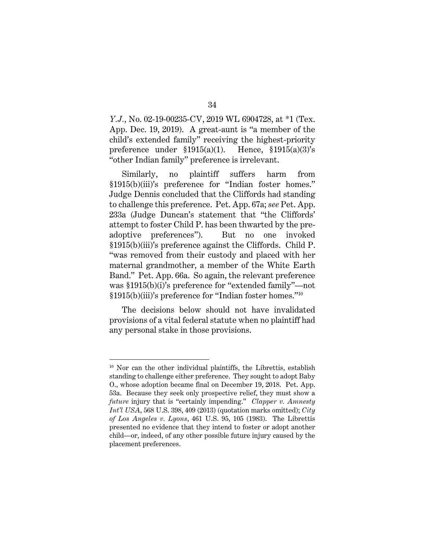*Y.J.*, No. 02-19-00235-CV, 2019 WL 6904728, at \*1 (Tex. App. Dec. 19, 2019). A great-aunt is "a member of the child's extended family" receiving the highest-priority preference under §1915(a)(1). Hence, §1915(a)(3)'s "other Indian family" preference is irrelevant.

Similarly, no plaintiff suffers harm from §1915(b)(iii)'s preference for "Indian foster homes." Judge Dennis concluded that the Cliffords had standing to challenge this preference. Pet. App. 67a; *see* Pet. App. 233a (Judge Duncan's statement that "the Cliffords' attempt to foster Child P. has been thwarted by the preadoptive preferences"). But no one invoked §1915(b)(iii)'s preference against the Cliffords. Child P. "was removed from their custody and placed with her maternal grandmother, a member of the White Earth Band." Pet. App. 66a. So again, the relevant preference was §1915(b)(i)'s preference for "extended family"—not §1915(b)(iii)'s preference for "Indian foster homes."<sup>10</sup>

The decisions below should not have invalidated provisions of a vital federal statute when no plaintiff had any personal stake in those provisions.

 $10$  Nor can the other individual plaintiffs, the Librettis, establish standing to challenge either preference. They sought to adopt Baby O., whose adoption became final on December 19, 2018. Pet. App. 53a. Because they seek only prospective relief, they must show a *future* injury that is "certainly impending." *Clapper v. Amnesty Int'l USA*, 568 U.S. 398, 409 (2013) (quotation marks omitted); *City of Los Angeles v. Lyons*, 461 U.S. 95, 105 (1983). The Librettis presented no evidence that they intend to foster or adopt another child—or, indeed, of any other possible future injury caused by the placement preferences.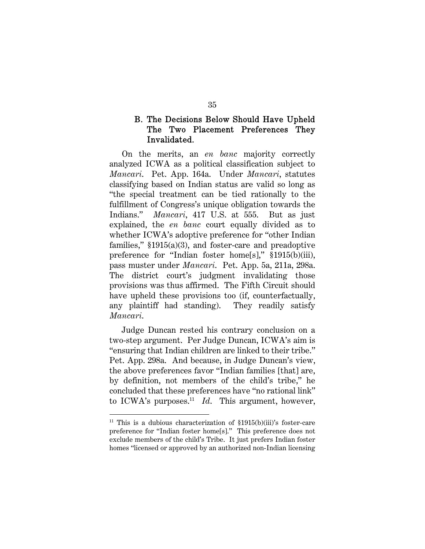## B. The Decisions Below Should Have Upheld The Two Placement Preferences They Invalidated.

On the merits, an *en banc* majority correctly analyzed ICWA as a political classification subject to *Mancari*. Pet. App. 164a. Under *Mancari*, statutes classifying based on Indian status are valid so long as "the special treatment can be tied rationally to the fulfillment of Congress's unique obligation towards the Indians." *Mancari*, 417 U.S. at 555. But as just explained, the *en banc* court equally divided as to whether ICWA's adoptive preference for "other Indian families," §1915(a)(3), and foster-care and preadoptive preference for "Indian foster home[s]," §1915(b)(iii), pass muster under *Mancari*. Pet. App. 5a, 211a, 298a. The district court's judgment invalidating those provisions was thus affirmed. The Fifth Circuit should have upheld these provisions too (if, counterfactually, any plaintiff had standing). They readily satisfy *Mancari*.

Judge Duncan rested his contrary conclusion on a two-step argument. Per Judge Duncan, ICWA's aim is "ensuring that Indian children are linked to their tribe." Pet. App. 298a. And because, in Judge Duncan's view, the above preferences favor "Indian families [that] are, by definition, not members of the child's tribe," he concluded that these preferences have "no rational link" to ICWA's purposes.<sup>11</sup> *Id*. This argument, however,

<sup>&</sup>lt;sup>11</sup> This is a dubious characterization of  $$1915(b)(iii)'s$  foster-care preference for "Indian foster home[s]." This preference does not exclude members of the child's Tribe. It just prefers Indian foster homes "licensed or approved by an authorized non-Indian licensing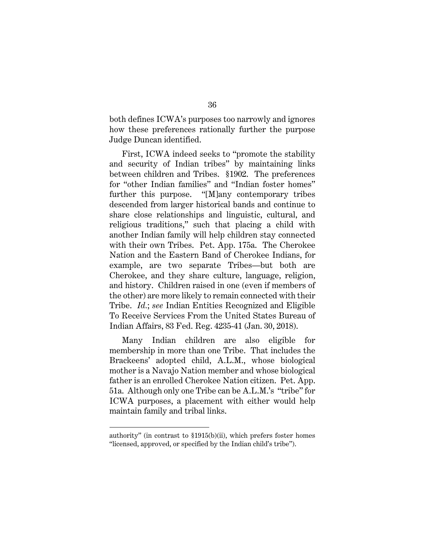both defines ICWA's purposes too narrowly and ignores how these preferences rationally further the purpose Judge Duncan identified.

First, ICWA indeed seeks to "promote the stability and security of Indian tribes" by maintaining links between children and Tribes. §1902. The preferences for "other Indian families" and "Indian foster homes" further this purpose. "[M]any contemporary tribes descended from larger historical bands and continue to share close relationships and linguistic, cultural, and religious traditions," such that placing a child with another Indian family will help children stay connected with their own Tribes. Pet. App. 175a. The Cherokee Nation and the Eastern Band of Cherokee Indians, for example, are two separate Tribes—but both are Cherokee, and they share culture, language, religion, and history. Children raised in one (even if members of the other) are more likely to remain connected with their Tribe. *Id.*; *see* Indian Entities Recognized and Eligible To Receive Services From the United States Bureau of Indian Affairs, 83 Fed. Reg. 4235-41 (Jan. 30, 2018).

Many Indian children are also eligible for membership in more than one Tribe. That includes the Brackeens' adopted child, A.L.M., whose biological mother is a Navajo Nation member and whose biological father is an enrolled Cherokee Nation citizen. Pet. App. 51a. Although only one Tribe can be A.L.M.'s "tribe" for ICWA purposes, a placement with either would help maintain family and tribal links.

authority" (in contrast to §1915(b)(ii), which prefers foster homes "licensed, approved, or specified by the Indian child's tribe").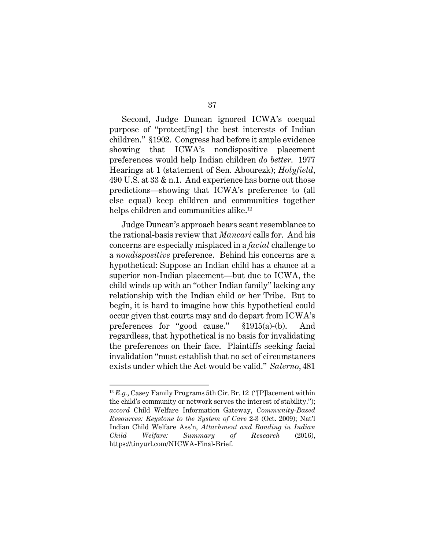Second, Judge Duncan ignored ICWA's coequal purpose of "protect[ing] the best interests of Indian children." §1902. Congress had before it ample evidence showing that ICWA's nondispositive placement preferences would help Indian children *do better*. 1977 Hearings at 1 (statement of Sen. Abourezk); *Holyfield*, 490 U.S. at 33 & n.1. And experience has borne out those predictions—showing that ICWA's preference to (all else equal) keep children and communities together helps children and communities alike.<sup>12</sup>

Judge Duncan's approach bears scant resemblance to the rational-basis review that *Mancari* calls for. And his concerns are especially misplaced in a *facial* challenge to a *nondispositive* preference. Behind his concerns are a hypothetical: Suppose an Indian child has a chance at a superior non-Indian placement—but due to ICWA, the child winds up with an "other Indian family" lacking any relationship with the Indian child or her Tribe. But to begin, it is hard to imagine how this hypothetical could occur given that courts may and do depart from ICWA's preferences for "good cause." §1915(a)-(b). And regardless, that hypothetical is no basis for invalidating the preferences on their face. Plaintiffs seeking facial invalidation "must establish that no set of circumstances exists under which the Act would be valid." *Salerno*, 481

 $\overline{a}$ 

37

 $12 E.g., \text{Casey Family Programs 5th Cir. Br. 12 ("F]lacement within}$ the child's community or network serves the interest of stability."); *accord* Child Welfare Information Gateway, *Community-Based Resources: Keystone to the System of Care* 2-3 (Oct. 2009); Nat'l Indian Child Welfare Ass'n, *Attachment and Bonding in Indian Child Welfare: Summary of Research* (2016), https://tinyurl.com/NICWA-Final-Brief.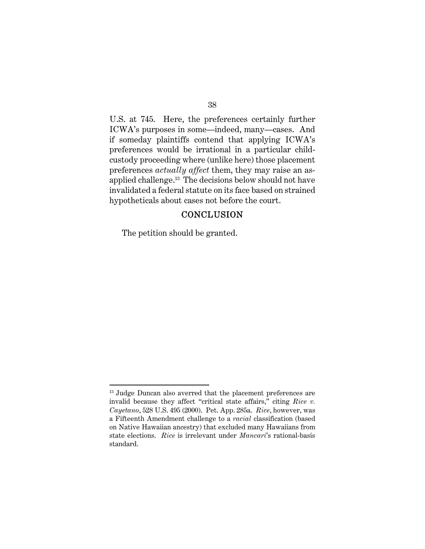U.S. at 745. Here, the preferences certainly further ICWA's purposes in some—indeed, many—cases. And if someday plaintiffs contend that applying ICWA's preferences would be irrational in a particular childcustody proceeding where (unlike here) those placement preferences *actually affect* them, they may raise an asapplied challenge.<sup>13</sup> The decisions below should not have invalidated a federal statute on its face based on strained hypotheticals about cases not before the court.

## **CONCLUSION**

The petition should be granted.

<sup>&</sup>lt;sup>13</sup> Judge Duncan also averred that the placement preferences are invalid because they affect "critical state affairs," citing *Rice v. Cayetano*, 528 U.S. 495 (2000). Pet. App. 285a. *Rice*, however, was a Fifteenth Amendment challenge to a *racial* classification (based on Native Hawaiian ancestry) that excluded many Hawaiians from state elections. *Rice* is irrelevant under *Mancari*'s rational-basis standard.